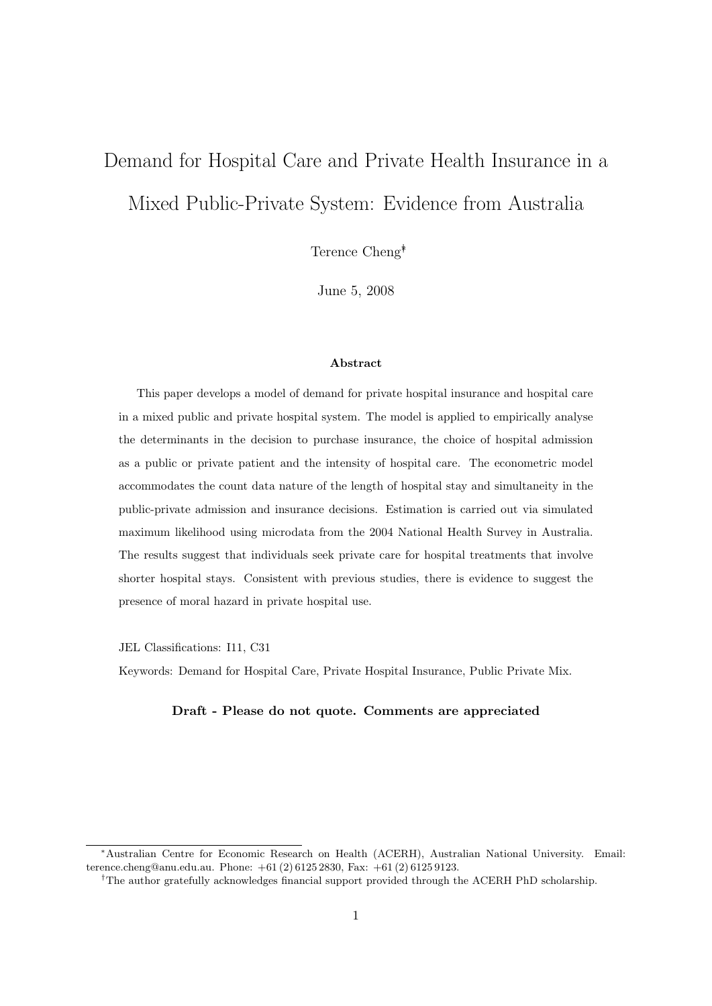# Demand for Hospital Care and Private Health Insurance in a Mixed Public-Private System: Evidence from Australia

Terence Cheng∗†

June 5, 2008

### Abstract

This paper develops a model of demand for private hospital insurance and hospital care in a mixed public and private hospital system. The model is applied to empirically analyse the determinants in the decision to purchase insurance, the choice of hospital admission as a public or private patient and the intensity of hospital care. The econometric model accommodates the count data nature of the length of hospital stay and simultaneity in the public-private admission and insurance decisions. Estimation is carried out via simulated maximum likelihood using microdata from the 2004 National Health Survey in Australia. The results suggest that individuals seek private care for hospital treatments that involve shorter hospital stays. Consistent with previous studies, there is evidence to suggest the presence of moral hazard in private hospital use.

JEL Classifications: I11, C31

Keywords: Demand for Hospital Care, Private Hospital Insurance, Public Private Mix.

### Draft - Please do not quote. Comments are appreciated

<sup>∗</sup>Australian Centre for Economic Research on Health (ACERH), Australian National University. Email: terence.cheng@anu.edu.au. Phone: +61 (2) 6125 2830, Fax: +61 (2) 6125 9123.

<sup>†</sup>The author gratefully acknowledges financial support provided through the ACERH PhD scholarship.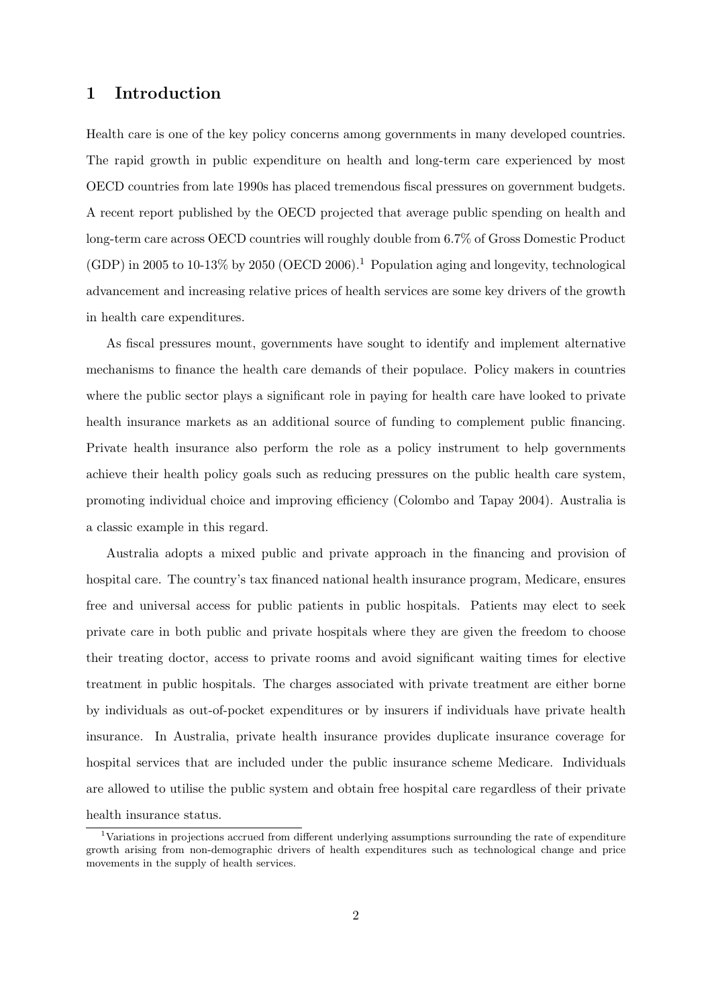# 1 Introduction

Health care is one of the key policy concerns among governments in many developed countries. The rapid growth in public expenditure on health and long-term care experienced by most OECD countries from late 1990s has placed tremendous fiscal pressures on government budgets. A recent report published by the OECD projected that average public spending on health and long-term care across OECD countries will roughly double from 6.7% of Gross Domestic Product (GDP) in 2005 to 10-13% by 2050 (OECD 2006).<sup>1</sup> Population aging and longevity, technological advancement and increasing relative prices of health services are some key drivers of the growth in health care expenditures.

As fiscal pressures mount, governments have sought to identify and implement alternative mechanisms to finance the health care demands of their populace. Policy makers in countries where the public sector plays a significant role in paying for health care have looked to private health insurance markets as an additional source of funding to complement public financing. Private health insurance also perform the role as a policy instrument to help governments achieve their health policy goals such as reducing pressures on the public health care system, promoting individual choice and improving efficiency (Colombo and Tapay 2004). Australia is a classic example in this regard.

Australia adopts a mixed public and private approach in the financing and provision of hospital care. The country's tax financed national health insurance program, Medicare, ensures free and universal access for public patients in public hospitals. Patients may elect to seek private care in both public and private hospitals where they are given the freedom to choose their treating doctor, access to private rooms and avoid significant waiting times for elective treatment in public hospitals. The charges associated with private treatment are either borne by individuals as out-of-pocket expenditures or by insurers if individuals have private health insurance. In Australia, private health insurance provides duplicate insurance coverage for hospital services that are included under the public insurance scheme Medicare. Individuals are allowed to utilise the public system and obtain free hospital care regardless of their private health insurance status.

<sup>1</sup>Variations in projections accrued from different underlying assumptions surrounding the rate of expenditure growth arising from non-demographic drivers of health expenditures such as technological change and price movements in the supply of health services.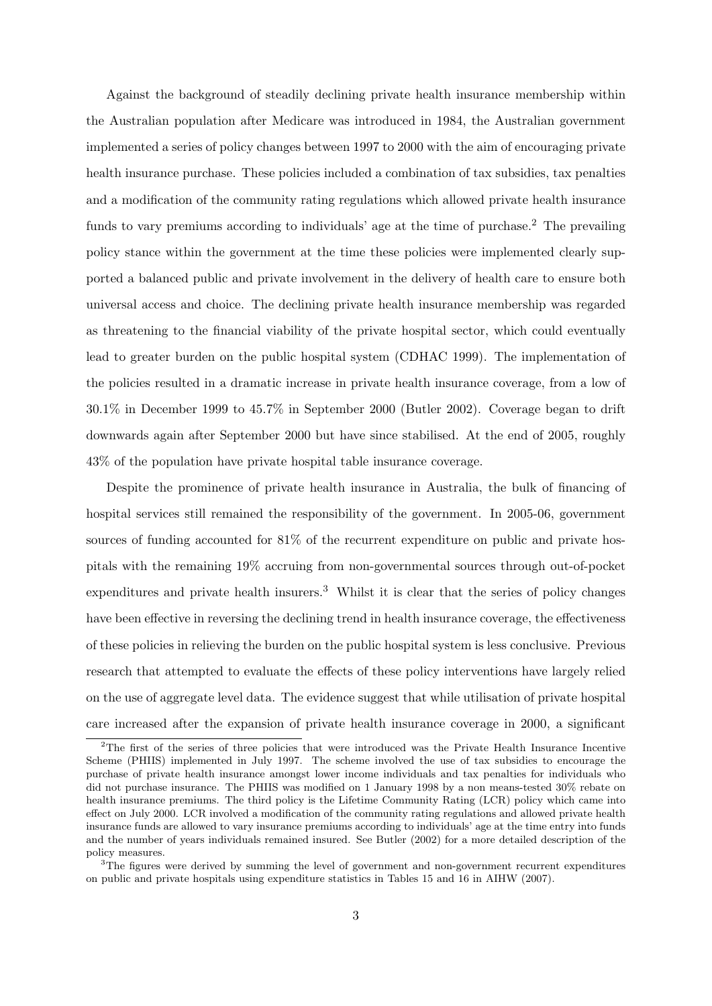Against the background of steadily declining private health insurance membership within the Australian population after Medicare was introduced in 1984, the Australian government implemented a series of policy changes between 1997 to 2000 with the aim of encouraging private health insurance purchase. These policies included a combination of tax subsidies, tax penalties and a modification of the community rating regulations which allowed private health insurance funds to vary premiums according to individuals' age at the time of purchase.<sup>2</sup> The prevailing policy stance within the government at the time these policies were implemented clearly supported a balanced public and private involvement in the delivery of health care to ensure both universal access and choice. The declining private health insurance membership was regarded as threatening to the financial viability of the private hospital sector, which could eventually lead to greater burden on the public hospital system (CDHAC 1999). The implementation of the policies resulted in a dramatic increase in private health insurance coverage, from a low of 30.1% in December 1999 to 45.7% in September 2000 (Butler 2002). Coverage began to drift downwards again after September 2000 but have since stabilised. At the end of 2005, roughly 43% of the population have private hospital table insurance coverage.

Despite the prominence of private health insurance in Australia, the bulk of financing of hospital services still remained the responsibility of the government. In 2005-06, government sources of funding accounted for 81% of the recurrent expenditure on public and private hospitals with the remaining 19% accruing from non-governmental sources through out-of-pocket expenditures and private health insurers.<sup>3</sup> Whilst it is clear that the series of policy changes have been effective in reversing the declining trend in health insurance coverage, the effectiveness of these policies in relieving the burden on the public hospital system is less conclusive. Previous research that attempted to evaluate the effects of these policy interventions have largely relied on the use of aggregate level data. The evidence suggest that while utilisation of private hospital care increased after the expansion of private health insurance coverage in 2000, a significant

 $2$ The first of the series of three policies that were introduced was the Private Health Insurance Incentive Scheme (PHIIS) implemented in July 1997. The scheme involved the use of tax subsidies to encourage the purchase of private health insurance amongst lower income individuals and tax penalties for individuals who did not purchase insurance. The PHIIS was modified on 1 January 1998 by a non means-tested 30% rebate on health insurance premiums. The third policy is the Lifetime Community Rating (LCR) policy which came into effect on July 2000. LCR involved a modification of the community rating regulations and allowed private health insurance funds are allowed to vary insurance premiums according to individuals' age at the time entry into funds and the number of years individuals remained insured. See Butler (2002) for a more detailed description of the policy measures.

 $3$ The figures were derived by summing the level of government and non-government recurrent expenditures on public and private hospitals using expenditure statistics in Tables 15 and 16 in AIHW (2007).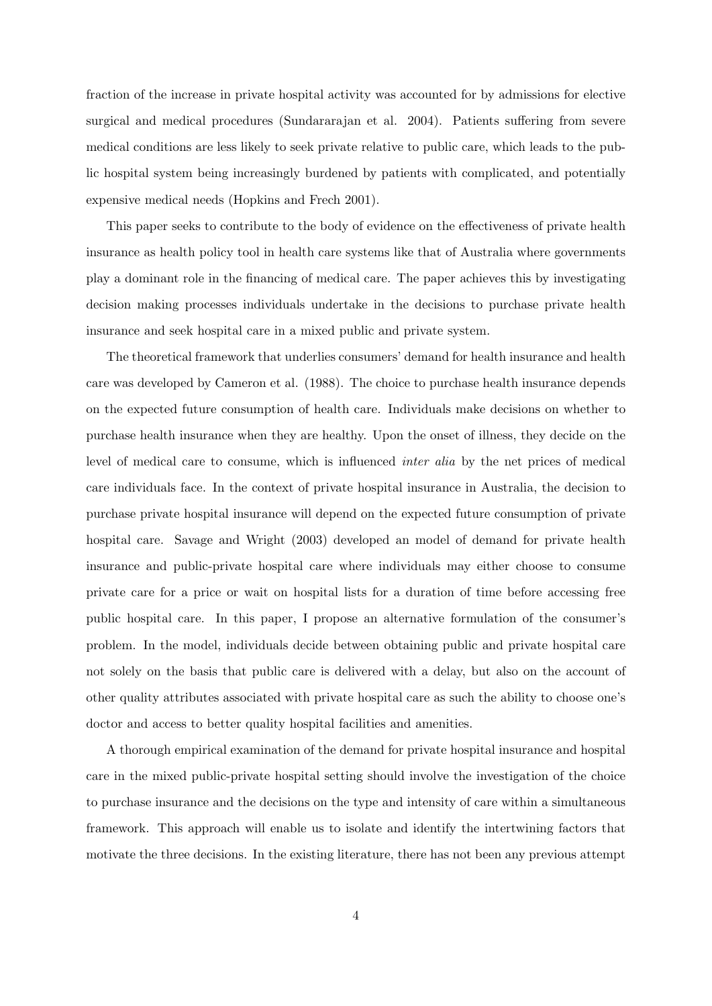fraction of the increase in private hospital activity was accounted for by admissions for elective surgical and medical procedures (Sundararajan et al. 2004). Patients suffering from severe medical conditions are less likely to seek private relative to public care, which leads to the public hospital system being increasingly burdened by patients with complicated, and potentially expensive medical needs (Hopkins and Frech 2001).

This paper seeks to contribute to the body of evidence on the effectiveness of private health insurance as health policy tool in health care systems like that of Australia where governments play a dominant role in the financing of medical care. The paper achieves this by investigating decision making processes individuals undertake in the decisions to purchase private health insurance and seek hospital care in a mixed public and private system.

The theoretical framework that underlies consumers' demand for health insurance and health care was developed by Cameron et al. (1988). The choice to purchase health insurance depends on the expected future consumption of health care. Individuals make decisions on whether to purchase health insurance when they are healthy. Upon the onset of illness, they decide on the level of medical care to consume, which is influenced inter alia by the net prices of medical care individuals face. In the context of private hospital insurance in Australia, the decision to purchase private hospital insurance will depend on the expected future consumption of private hospital care. Savage and Wright (2003) developed an model of demand for private health insurance and public-private hospital care where individuals may either choose to consume private care for a price or wait on hospital lists for a duration of time before accessing free public hospital care. In this paper, I propose an alternative formulation of the consumer's problem. In the model, individuals decide between obtaining public and private hospital care not solely on the basis that public care is delivered with a delay, but also on the account of other quality attributes associated with private hospital care as such the ability to choose one's doctor and access to better quality hospital facilities and amenities.

A thorough empirical examination of the demand for private hospital insurance and hospital care in the mixed public-private hospital setting should involve the investigation of the choice to purchase insurance and the decisions on the type and intensity of care within a simultaneous framework. This approach will enable us to isolate and identify the intertwining factors that motivate the three decisions. In the existing literature, there has not been any previous attempt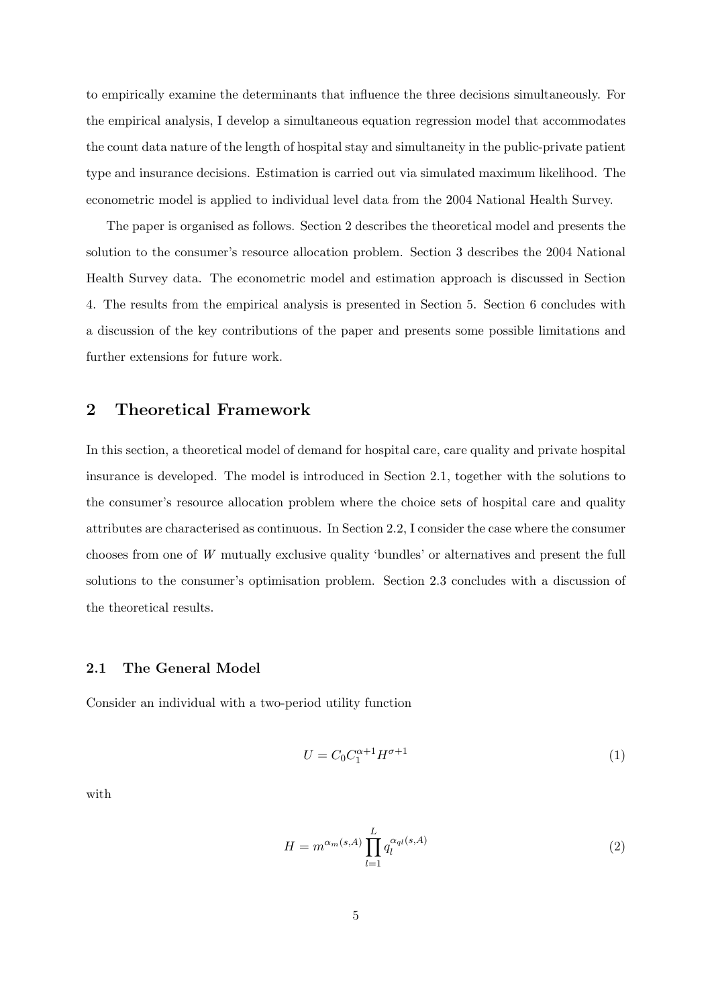to empirically examine the determinants that influence the three decisions simultaneously. For the empirical analysis, I develop a simultaneous equation regression model that accommodates the count data nature of the length of hospital stay and simultaneity in the public-private patient type and insurance decisions. Estimation is carried out via simulated maximum likelihood. The econometric model is applied to individual level data from the 2004 National Health Survey.

The paper is organised as follows. Section 2 describes the theoretical model and presents the solution to the consumer's resource allocation problem. Section 3 describes the 2004 National Health Survey data. The econometric model and estimation approach is discussed in Section 4. The results from the empirical analysis is presented in Section 5. Section 6 concludes with a discussion of the key contributions of the paper and presents some possible limitations and further extensions for future work.

# 2 Theoretical Framework

In this section, a theoretical model of demand for hospital care, care quality and private hospital insurance is developed. The model is introduced in Section 2.1, together with the solutions to the consumer's resource allocation problem where the choice sets of hospital care and quality attributes are characterised as continuous. In Section 2.2, I consider the case where the consumer chooses from one of W mutually exclusive quality 'bundles' or alternatives and present the full solutions to the consumer's optimisation problem. Section 2.3 concludes with a discussion of the theoretical results.

### 2.1 The General Model

Consider an individual with a two-period utility function

$$
U = C_0 C_1^{\alpha+1} H^{\sigma+1} \tag{1}
$$

with

$$
H = m^{\alpha_m(s,A)} \prod_{l=1}^{L} q_l^{\alpha_{ql}(s,A)}
$$
\n
$$
(2)
$$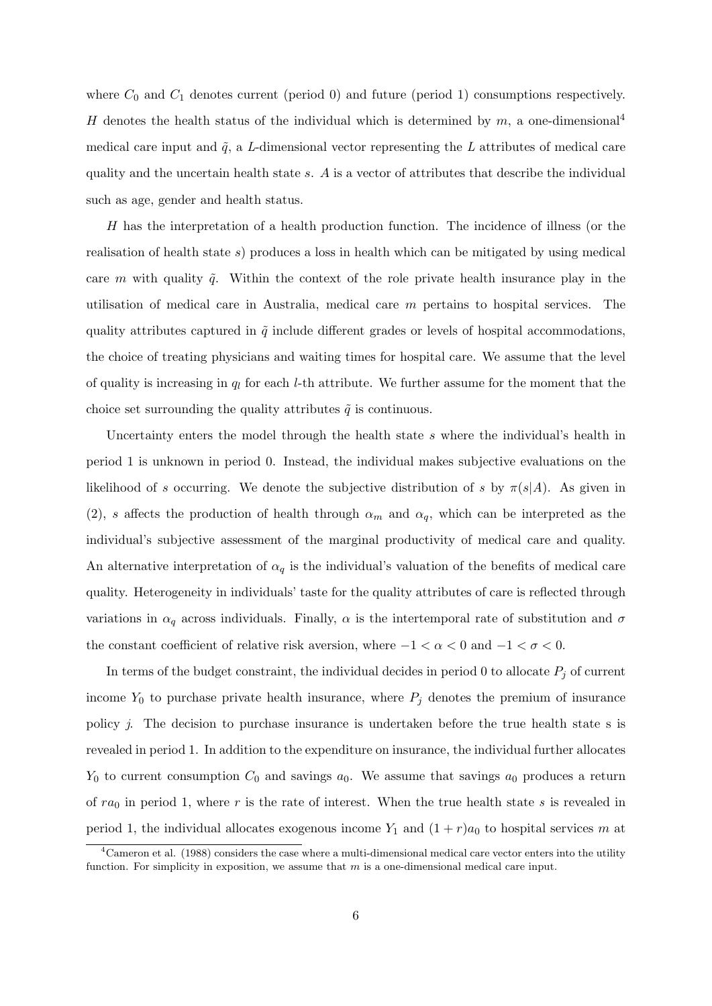where  $C_0$  and  $C_1$  denotes current (period 0) and future (period 1) consumptions respectively. H denotes the health status of the individual which is determined by  $m$ , a one-dimensional<sup>4</sup> medical care input and  $\tilde{q}$ , a L-dimensional vector representing the L attributes of medical care quality and the uncertain health state s. A is a vector of attributes that describe the individual such as age, gender and health status.

H has the interpretation of a health production function. The incidence of illness (or the realisation of health state s) produces a loss in health which can be mitigated by using medical care m with quality  $\tilde{q}$ . Within the context of the role private health insurance play in the utilisation of medical care in Australia, medical care m pertains to hospital services. The quality attributes captured in  $\tilde{q}$  include different grades or levels of hospital accommodations, the choice of treating physicians and waiting times for hospital care. We assume that the level of quality is increasing in  $q_l$  for each *l*-th attribute. We further assume for the moment that the choice set surrounding the quality attributes  $\tilde{q}$  is continuous.

Uncertainty enters the model through the health state s where the individual's health in period 1 is unknown in period 0. Instead, the individual makes subjective evaluations on the likelihood of s occurring. We denote the subjective distribution of s by  $\pi(s|A)$ . As given in (2), s affects the production of health through  $\alpha_m$  and  $\alpha_q$ , which can be interpreted as the individual's subjective assessment of the marginal productivity of medical care and quality. An alternative interpretation of  $\alpha_q$  is the individual's valuation of the benefits of medical care quality. Heterogeneity in individuals' taste for the quality attributes of care is reflected through variations in  $\alpha_q$  across individuals. Finally,  $\alpha$  is the intertemporal rate of substitution and  $\sigma$ the constant coefficient of relative risk aversion, where  $-1 < \alpha < 0$  and  $-1 < \sigma < 0$ .

In terms of the budget constraint, the individual decides in period 0 to allocate  $P_j$  of current income  $Y_0$  to purchase private health insurance, where  $P_j$  denotes the premium of insurance policy j. The decision to purchase insurance is undertaken before the true health state s is revealed in period 1. In addition to the expenditure on insurance, the individual further allocates  $Y_0$  to current consumption  $C_0$  and savings  $a_0$ . We assume that savings  $a_0$  produces a return of  $ra_0$  in period 1, where r is the rate of interest. When the true health state s is revealed in period 1, the individual allocates exogenous income  $Y_1$  and  $(1 + r)a_0$  to hospital services m at

 ${}^{4}$ Cameron et al. (1988) considers the case where a multi-dimensional medical care vector enters into the utility function. For simplicity in exposition, we assume that  $m$  is a one-dimensional medical care input.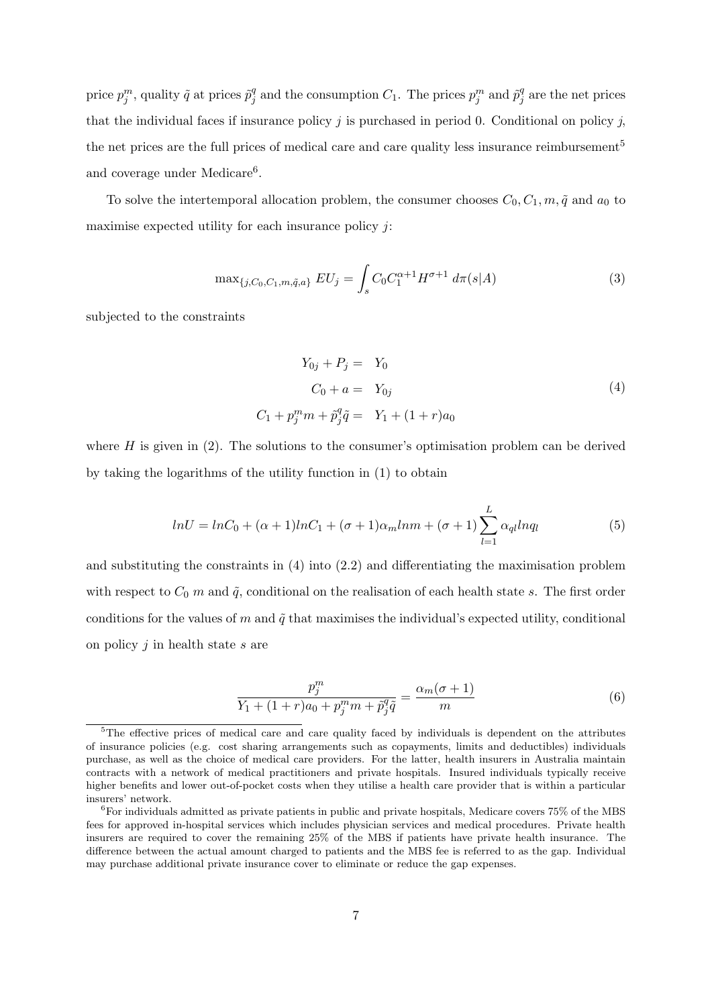price  $p_j^m$ , quality  $\tilde{q}$  at prices  $\tilde{p}_j^q$  $_j^q$  and the consumption  $C_1$ . The prices  $p_j^m$  and  $\tilde{p}_j^q$  $j^q$  are the net prices that the individual faces if insurance policy  $j$  is purchased in period 0. Conditional on policy  $j$ , the net prices are the full prices of medical care and care quality less insurance reimbursement<sup>5</sup> and coverage under Medicare<sup>6</sup>.

To solve the intertemporal allocation problem, the consumer chooses  $C_0, C_1, m, \tilde{q}$  and  $a_0$  to maximise expected utility for each insurance policy  $j$ :

$$
\max_{\{j, C_0, C_1, m, \tilde{q}, a\}} EU_j = \int_s C_0 C_1^{\alpha+1} H^{\sigma+1} d\pi(s|A)
$$
\n(3)

subjected to the constraints

$$
Y_{0j} + P_j = Y_0
$$
  
\n
$$
C_0 + a = Y_{0j}
$$
  
\n
$$
C_1 + p_j^m m + \tilde{p}_j^q \tilde{q} = Y_1 + (1+r)a_0
$$
\n(4)

where  $H$  is given in  $(2)$ . The solutions to the consumer's optimisation problem can be derived by taking the logarithms of the utility function in (1) to obtain

$$
lnU = lnC_0 + (\alpha + 1)lnC_1 + (\sigma + 1)\alpha_m lnm + (\sigma + 1)\sum_{l=1}^{L} \alpha_{ql} lnq_l
$$
\n(5)

and substituting the constraints in (4) into (2.2) and differentiating the maximisation problem with respect to  $C_0$  m and  $\tilde{q}$ , conditional on the realisation of each health state s. The first order conditions for the values of m and  $\tilde{q}$  that maximises the individual's expected utility, conditional on policy  $j$  in health state  $s$  are

$$
\frac{p_j^m}{Y_1 + (1+r)a_0 + p_j^m m + \tilde{p}_j^q \tilde{q}} = \frac{\alpha_m(\sigma + 1)}{m}
$$
 (6)

<sup>&</sup>lt;sup>5</sup>The effective prices of medical care and care quality faced by individuals is dependent on the attributes of insurance policies (e.g. cost sharing arrangements such as copayments, limits and deductibles) individuals purchase, as well as the choice of medical care providers. For the latter, health insurers in Australia maintain contracts with a network of medical practitioners and private hospitals. Insured individuals typically receive higher benefits and lower out-of-pocket costs when they utilise a health care provider that is within a particular insurers' network.

 ${}^{6}$ For individuals admitted as private patients in public and private hospitals, Medicare covers 75% of the MBS fees for approved in-hospital services which includes physician services and medical procedures. Private health insurers are required to cover the remaining 25% of the MBS if patients have private health insurance. The difference between the actual amount charged to patients and the MBS fee is referred to as the gap. Individual may purchase additional private insurance cover to eliminate or reduce the gap expenses.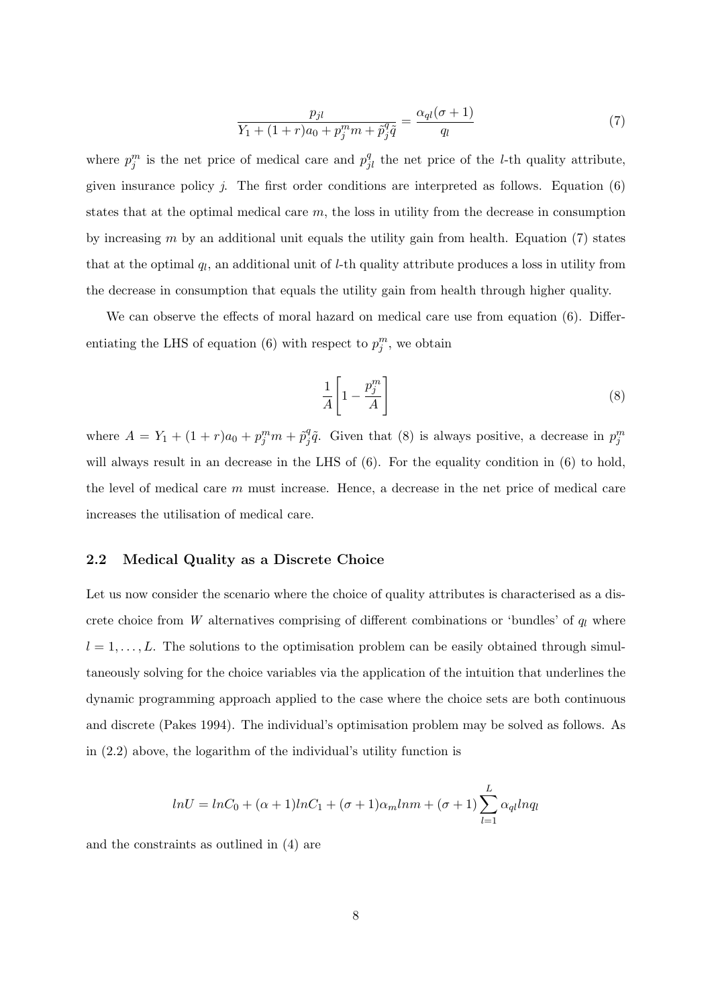$$
\frac{p_{jl}}{Y_1 + (1+r)a_0 + p_j^m m + \tilde{p}_j^q \tilde{q}} = \frac{\alpha_{ql}(\sigma + 1)}{q_l} \tag{7}
$$

where  $p_j^m$  is the net price of medical care and  $p_{jl}^q$  the net price of the *l*-th quality attribute, given insurance policy  $j$ . The first order conditions are interpreted as follows. Equation  $(6)$ states that at the optimal medical care m, the loss in utility from the decrease in consumption by increasing  $m$  by an additional unit equals the utility gain from health. Equation (7) states that at the optimal  $q_l$ , an additional unit of *l*-th quality attribute produces a loss in utility from the decrease in consumption that equals the utility gain from health through higher quality.

We can observe the effects of moral hazard on medical care use from equation (6). Differentiating the LHS of equation (6) with respect to  $p_j^m$ , we obtain

$$
\frac{1}{A} \left[ 1 - \frac{p_j^m}{A} \right] \tag{8}
$$

where  $A = Y_1 + (1+r)a_0 + p_j^m m + \tilde{p}_j^q$  $g_j^q\tilde{q}$ . Given that (8) is always positive, a decrease in  $p_j^m$ will always result in an decrease in the LHS of  $(6)$ . For the equality condition in  $(6)$  to hold, the level of medical care m must increase. Hence, a decrease in the net price of medical care increases the utilisation of medical care.

### 2.2 Medical Quality as a Discrete Choice

Let us now consider the scenario where the choice of quality attributes is characterised as a discrete choice from W alternatives comprising of different combinations or 'bundles' of  $q_l$  where  $l = 1, \ldots, L$ . The solutions to the optimisation problem can be easily obtained through simultaneously solving for the choice variables via the application of the intuition that underlines the dynamic programming approach applied to the case where the choice sets are both continuous and discrete (Pakes 1994). The individual's optimisation problem may be solved as follows. As in (2.2) above, the logarithm of the individual's utility function is

$$
lnU = lnC_0 + (\alpha + 1)lnC_1 + (\sigma + 1)\alpha_m lnm + (\sigma + 1)\sum_{l=1}^{L} \alpha_{ql} lnq_l
$$

and the constraints as outlined in (4) are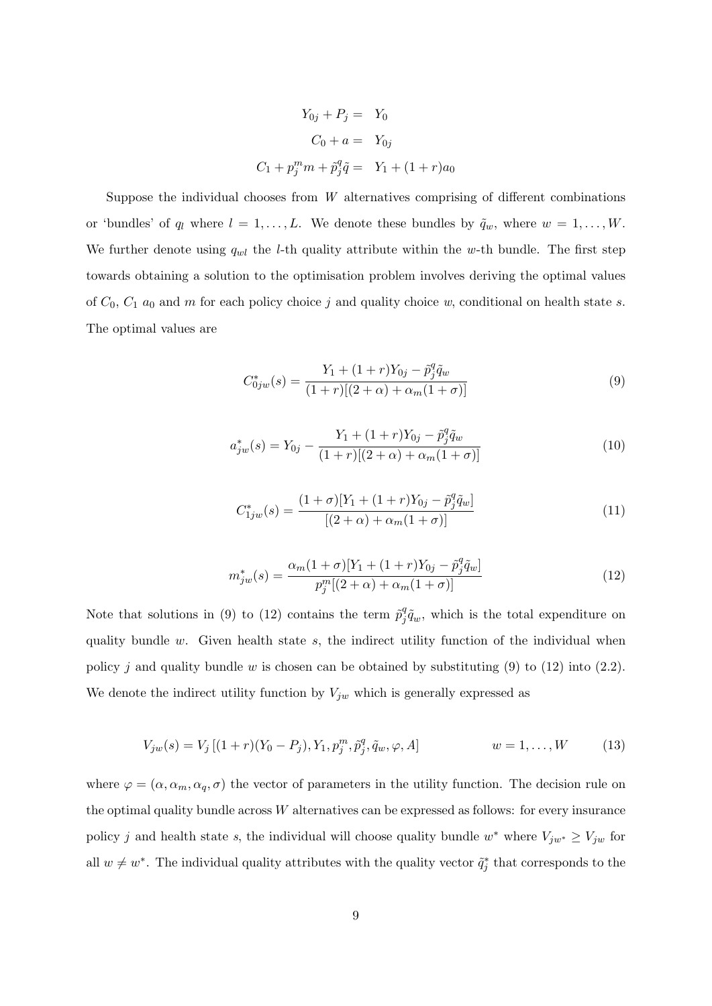$$
Y_{0j} + P_j = Y_0
$$
  
\n
$$
C_0 + a = Y_{0j}
$$
  
\n
$$
C_1 + p_j^m m + \tilde{p}_j^q \tilde{q} = Y_1 + (1+r)a_0
$$

Suppose the individual chooses from  $W$  alternatives comprising of different combinations or 'bundles' of  $q_l$  where  $l = 1, ..., L$ . We denote these bundles by  $\tilde{q}_w$ , where  $w = 1, ..., W$ . We further denote using  $q_{wl}$  the *l*-th quality attribute within the w-th bundle. The first step towards obtaining a solution to the optimisation problem involves deriving the optimal values of  $C_0$ ,  $C_1$   $a_0$  and m for each policy choice j and quality choice w, conditional on health state s. The optimal values are

$$
C_{0jw}^*(s) = \frac{Y_1 + (1+r)Y_{0j} - \tilde{p}_j^q \tilde{q}_w}{(1+r)[(2+\alpha) + \alpha_m(1+\sigma)]}
$$
(9)

$$
a_{jw}^*(s) = Y_{0j} - \frac{Y_1 + (1+r)Y_{0j} - \tilde{p}_j^q \tilde{q}_w}{(1+r)[(2+\alpha) + \alpha_m(1+\sigma)]}
$$
(10)

$$
C_{1jw}^*(s) = \frac{(1+\sigma)[Y_1 + (1+r)Y_{0j} - \tilde{p}_j^q \tilde{q}_w]}{[(2+\alpha) + \alpha_m(1+\sigma)]}
$$
(11)

$$
m_{jw}^{*}(s) = \frac{\alpha_m (1+\sigma)[Y_1 + (1+r)Y_{0j} - \tilde{p}_j^q \tilde{q}_w]}{p_j^m [(2+\alpha) + \alpha_m (1+\sigma)]}
$$
(12)

Note that solutions in (9) to (12) contains the term  $\tilde{p}_i^q$  $j^q \tilde{q}_w$ , which is the total expenditure on quality bundle  $w$ . Given health state  $s$ , the indirect utility function of the individual when policy j and quality bundle w is chosen can be obtained by substituting (9) to (12) into (2.2). We denote the indirect utility function by  $V_{jw}$  which is generally expressed as

$$
V_{jw}(s) = V_j [(1+r)(Y_0 - P_j), Y_1, p_j^m, \tilde{p}_j^q, \tilde{q}_w, \varphi, A] \qquad w = 1, ..., W \qquad (13)
$$

where  $\varphi = (\alpha, \alpha_m, \alpha_q, \sigma)$  the vector of parameters in the utility function. The decision rule on the optimal quality bundle across W alternatives can be expressed as follows: for every insurance policy j and health state s, the individual will choose quality bundle w<sup>\*</sup> where  $V_{jw^*} \ge V_{jw}$  for all  $w \neq w^*$ . The individual quality attributes with the quality vector  $\tilde{q}_j^*$  that corresponds to the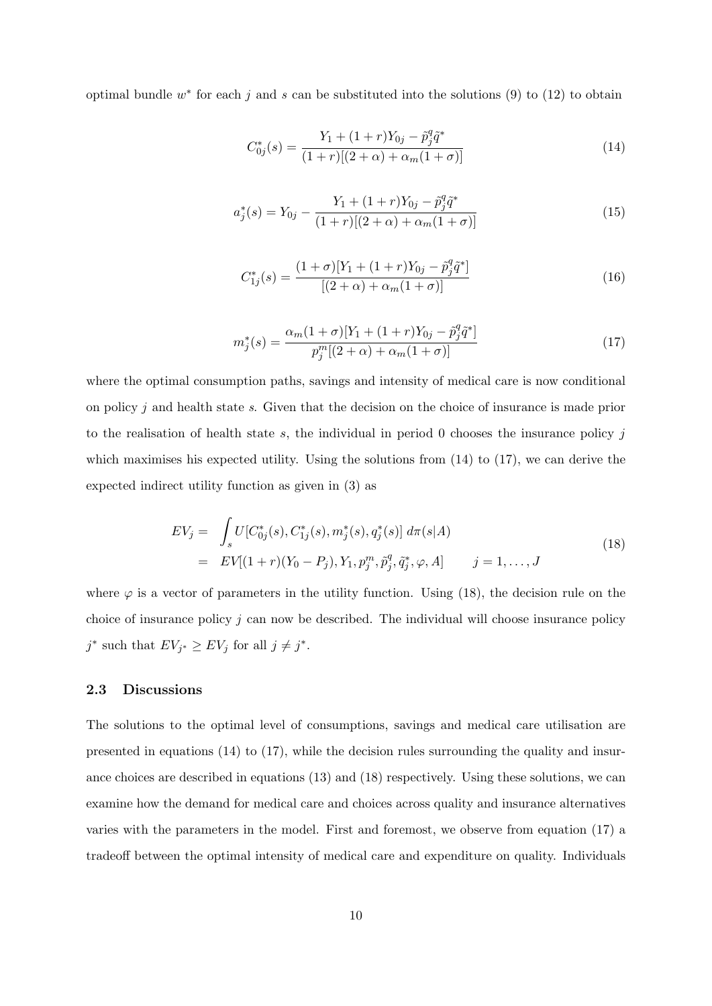optimal bundle  $w^*$  for each j and s can be substituted into the solutions (9) to (12) to obtain

$$
C_{0j}^*(s) = \frac{Y_1 + (1+r)Y_{0j} - \tilde{p}_j^q \tilde{q}^*}{(1+r)[(2+\alpha) + \alpha_m(1+\sigma)]}
$$
(14)

$$
a_j^*(s) = Y_{0j} - \frac{Y_1 + (1+r)Y_{0j} - \tilde{p}_j^q \tilde{q}^*}{(1+r)[(2+\alpha) + \alpha_m(1+\sigma)]}
$$
(15)

$$
C_{1j}^*(s) = \frac{(1+\sigma)[Y_1 + (1+r)Y_{0j} - \tilde{p}_j^q \tilde{q}^*]}{[(2+\alpha) + \alpha_m(1+\sigma)]}
$$
(16)

$$
m_j^*(s) = \frac{\alpha_m (1+\sigma)[Y_1 + (1+r)Y_{0j} - \tilde{p}_j^q \tilde{q}^*]}{p_j^m [(2+\alpha) + \alpha_m (1+\sigma)]}
$$
(17)

where the optimal consumption paths, savings and intensity of medical care is now conditional on policy j and health state s. Given that the decision on the choice of insurance is made prior to the realisation of health state s, the individual in period 0 chooses the insurance policy  $j$ which maximises his expected utility. Using the solutions from  $(14)$  to  $(17)$ , we can derive the expected indirect utility function as given in (3) as

$$
EV_j = \int_s U[C_{0j}^*(s), C_{1j}^*(s), m_j^*(s), q_j^*(s)] d\pi(s|A)
$$
  
= 
$$
EV[(1+r)(Y_0 - P_j), Y_1, p_j^m, \tilde{p}_j^q, \tilde{q}_j^*, \varphi, A] \qquad j = 1, ..., J
$$
 (18)

where  $\varphi$  is a vector of parameters in the utility function. Using (18), the decision rule on the choice of insurance policy  $j$  can now be described. The individual will choose insurance policy  $j^*$  such that  $EV_{j^*} \geq EV_j$  for all  $j \neq j^*$ .

### 2.3 Discussions

The solutions to the optimal level of consumptions, savings and medical care utilisation are presented in equations (14) to (17), while the decision rules surrounding the quality and insurance choices are described in equations (13) and (18) respectively. Using these solutions, we can examine how the demand for medical care and choices across quality and insurance alternatives varies with the parameters in the model. First and foremost, we observe from equation (17) a tradeoff between the optimal intensity of medical care and expenditure on quality. Individuals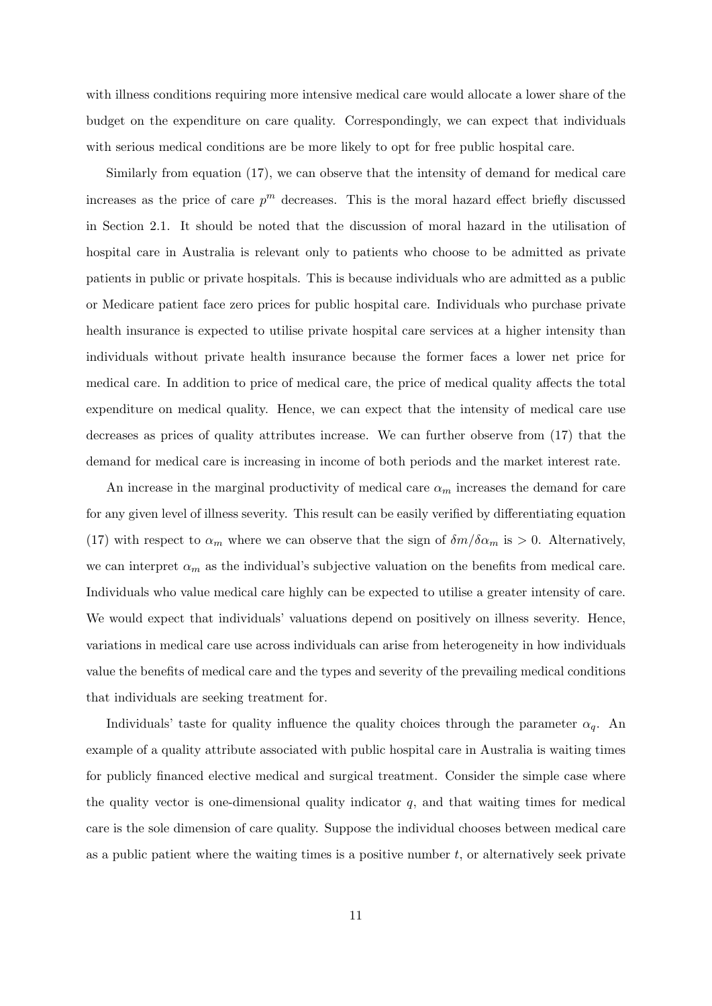with illness conditions requiring more intensive medical care would allocate a lower share of the budget on the expenditure on care quality. Correspondingly, we can expect that individuals with serious medical conditions are be more likely to opt for free public hospital care.

Similarly from equation (17), we can observe that the intensity of demand for medical care increases as the price of care  $p^m$  decreases. This is the moral hazard effect briefly discussed in Section 2.1. It should be noted that the discussion of moral hazard in the utilisation of hospital care in Australia is relevant only to patients who choose to be admitted as private patients in public or private hospitals. This is because individuals who are admitted as a public or Medicare patient face zero prices for public hospital care. Individuals who purchase private health insurance is expected to utilise private hospital care services at a higher intensity than individuals without private health insurance because the former faces a lower net price for medical care. In addition to price of medical care, the price of medical quality affects the total expenditure on medical quality. Hence, we can expect that the intensity of medical care use decreases as prices of quality attributes increase. We can further observe from (17) that the demand for medical care is increasing in income of both periods and the market interest rate.

An increase in the marginal productivity of medical care  $\alpha_m$  increases the demand for care for any given level of illness severity. This result can be easily verified by differentiating equation (17) with respect to  $\alpha_m$  where we can observe that the sign of  $\delta m/\delta \alpha_m$  is  $> 0$ . Alternatively, we can interpret  $\alpha_m$  as the individual's subjective valuation on the benefits from medical care. Individuals who value medical care highly can be expected to utilise a greater intensity of care. We would expect that individuals' valuations depend on positively on illness severity. Hence, variations in medical care use across individuals can arise from heterogeneity in how individuals value the benefits of medical care and the types and severity of the prevailing medical conditions that individuals are seeking treatment for.

Individuals' taste for quality influence the quality choices through the parameter  $\alpha_q$ . An example of a quality attribute associated with public hospital care in Australia is waiting times for publicly financed elective medical and surgical treatment. Consider the simple case where the quality vector is one-dimensional quality indicator  $q$ , and that waiting times for medical care is the sole dimension of care quality. Suppose the individual chooses between medical care as a public patient where the waiting times is a positive number  $t$ , or alternatively seek private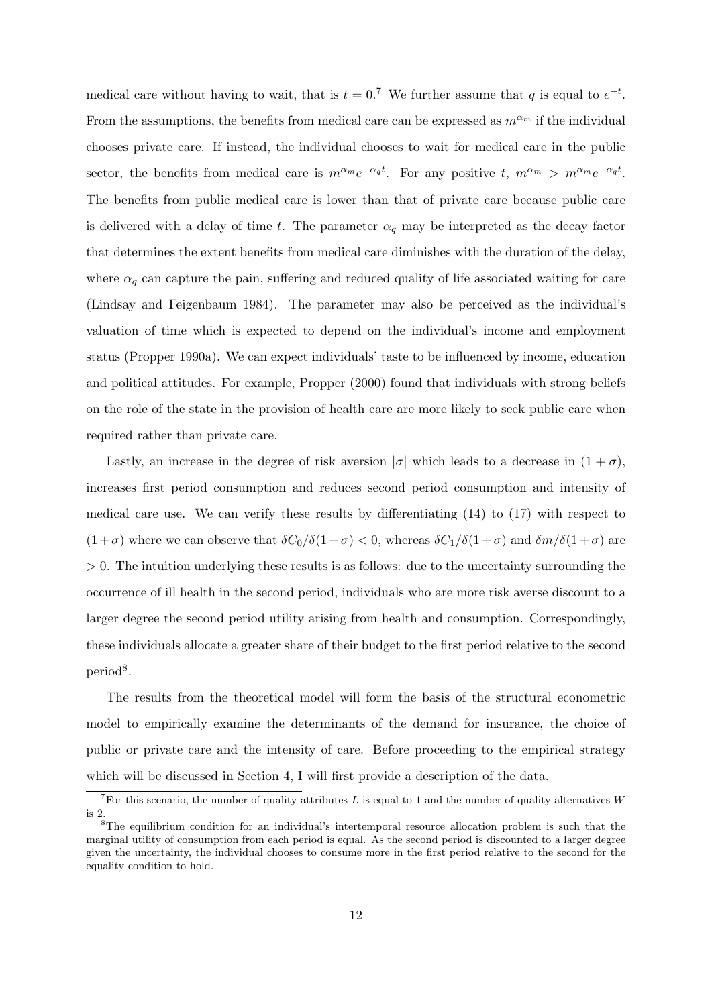medical care without having to wait, that is  $t = 0.7$  We further assume that q is equal to  $e^{-t}$ . From the assumptions, the benefits from medical care can be expressed as  $m^{\alpha_m}$  if the individual chooses private care. If instead, the individual chooses to wait for medical care in the public sector, the benefits from medical care is  $m^{\alpha_m}e^{-\alpha_q t}$ . For any positive  $t, m^{\alpha_m} > m^{\alpha_m}e^{-\alpha_q t}$ . The benefits from public medical care is lower than that of private care because public care is delivered with a delay of time t. The parameter  $\alpha_q$  may be interpreted as the decay factor that determines the extent benefits from medical care diminishes with the duration of the delay, where  $\alpha_q$  can capture the pain, suffering and reduced quality of life associated waiting for care (Lindsay and Feigenbaum 1984). The parameter may also be perceived as the individual's valuation of time which is expected to depend on the individual's income and employment status (Propper 1990a). We can expect individuals' taste to be influenced by income, education and political attitudes. For example, Propper (2000) found that individuals with strong beliefs on the role of the state in the provision of health care are more likely to seek public care when required rather than private care.

Lastly, an increase in the degree of risk aversion  $|\sigma|$  which leads to a decrease in  $(1 + \sigma)$ , increases first period consumption and reduces second period consumption and intensity of medical care use. We can verify these results by differentiating (14) to (17) with respect to  $(1+\sigma)$  where we can observe that  $\delta C_0/\delta(1+\sigma) < 0$ , whereas  $\delta C_1/\delta(1+\sigma)$  and  $\delta m/\delta(1+\sigma)$  are > 0. The intuition underlying these results is as follows: due to the uncertainty surrounding the occurrence of ill health in the second period, individuals who are more risk averse discount to a larger degree the second period utility arising from health and consumption. Correspondingly, these individuals allocate a greater share of their budget to the first period relative to the second period<sup>8</sup>.

The results from the theoretical model will form the basis of the structural econometric model to empirically examine the determinants of the demand for insurance, the choice of public or private care and the intensity of care. Before proceeding to the empirical strategy which will be discussed in Section 4, I will first provide a description of the data.

<sup>&</sup>lt;sup>7</sup>For this scenario, the number of quality attributes L is equal to 1 and the number of quality alternatives W is 2.

<sup>8</sup>The equilibrium condition for an individual's intertemporal resource allocation problem is such that the marginal utility of consumption from each period is equal. As the second period is discounted to a larger degree given the uncertainty, the individual chooses to consume more in the first period relative to the second for the equality condition to hold.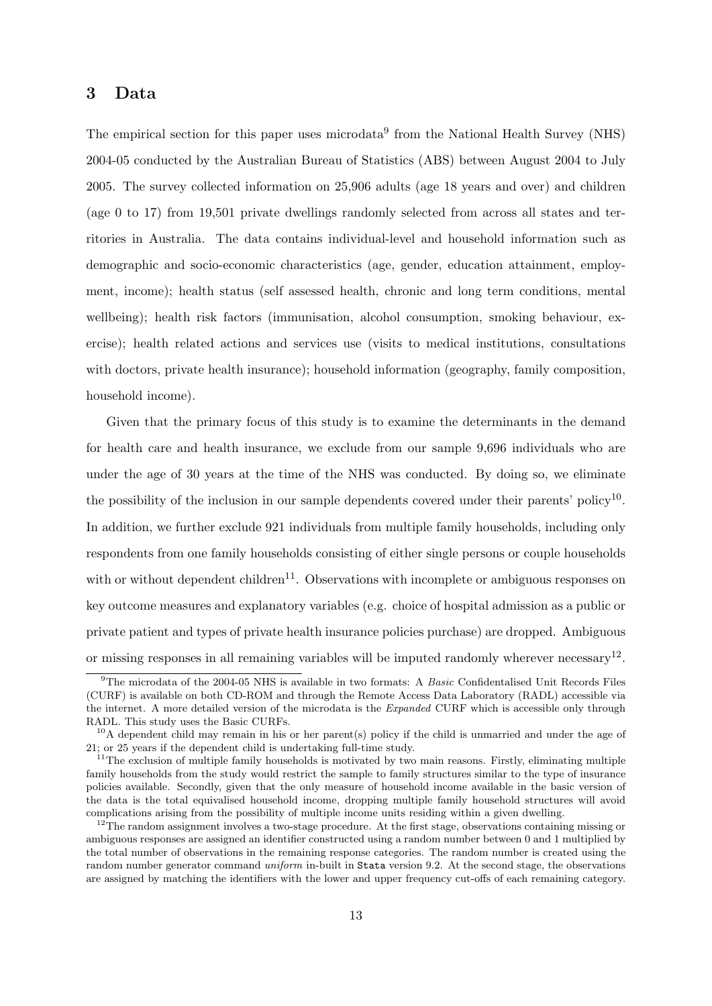# 3 Data

The empirical section for this paper uses microdata<sup>9</sup> from the National Health Survey (NHS) 2004-05 conducted by the Australian Bureau of Statistics (ABS) between August 2004 to July 2005. The survey collected information on 25,906 adults (age 18 years and over) and children (age 0 to 17) from 19,501 private dwellings randomly selected from across all states and territories in Australia. The data contains individual-level and household information such as demographic and socio-economic characteristics (age, gender, education attainment, employment, income); health status (self assessed health, chronic and long term conditions, mental wellbeing); health risk factors (immunisation, alcohol consumption, smoking behaviour, exercise); health related actions and services use (visits to medical institutions, consultations with doctors, private health insurance); household information (geography, family composition, household income).

Given that the primary focus of this study is to examine the determinants in the demand for health care and health insurance, we exclude from our sample 9,696 individuals who are under the age of 30 years at the time of the NHS was conducted. By doing so, we eliminate the possibility of the inclusion in our sample dependents covered under their parents' policy<sup>10</sup>. In addition, we further exclude 921 individuals from multiple family households, including only respondents from one family households consisting of either single persons or couple households with or without dependent children<sup>11</sup>. Observations with incomplete or ambiguous responses on key outcome measures and explanatory variables (e.g. choice of hospital admission as a public or private patient and types of private health insurance policies purchase) are dropped. Ambiguous or missing responses in all remaining variables will be imputed randomly wherever necessary<sup>12</sup>.

 $9$ The microdata of the 2004-05 NHS is available in two formats: A *Basic* Confidentalised Unit Records Files (CURF) is available on both CD-ROM and through the Remote Access Data Laboratory (RADL) accessible via the internet. A more detailed version of the microdata is the *Expanded* CURF which is accessible only through RADL. This study uses the Basic CURFs.

 $10A$  dependent child may remain in his or her parent(s) policy if the child is unmarried and under the age of 21; or 25 years if the dependent child is undertaking full-time study.

 $11$ The exclusion of multiple family households is motivated by two main reasons. Firstly, eliminating multiple family households from the study would restrict the sample to family structures similar to the type of insurance policies available. Secondly, given that the only measure of household income available in the basic version of the data is the total equivalised household income, dropping multiple family household structures will avoid complications arising from the possibility of multiple income units residing within a given dwelling.

<sup>&</sup>lt;sup>12</sup>The random assignment involves a two-stage procedure. At the first stage, observations containing missing or ambiguous responses are assigned an identifier constructed using a random number between 0 and 1 multiplied by the total number of observations in the remaining response categories. The random number is created using the random number generator command uniform in-built in Stata version 9.2. At the second stage, the observations are assigned by matching the identifiers with the lower and upper frequency cut-offs of each remaining category.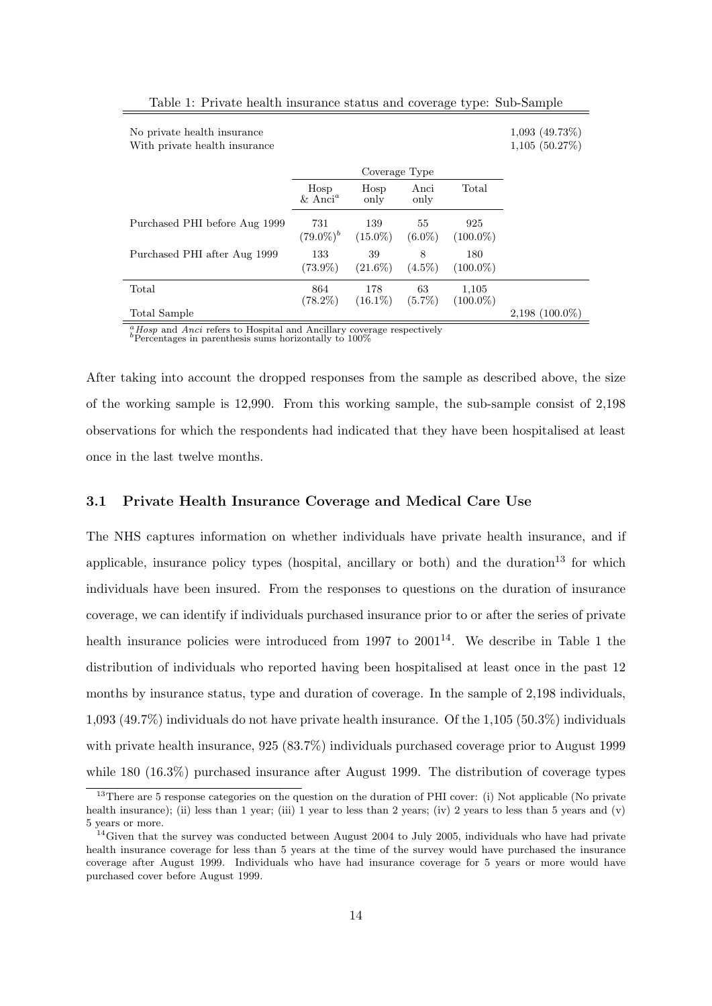| No private health insurance<br>With private health insurance |                           |                   |                 |                      | $1,093$ (49.73\%)<br>1,105(50.27%) |
|--------------------------------------------------------------|---------------------------|-------------------|-----------------|----------------------|------------------------------------|
|                                                              |                           | Coverage Type     |                 |                      |                                    |
|                                                              | Hosp<br>$& \text{Anci}^a$ | Hosp<br>only      | Anci<br>only    | Total                |                                    |
| Purchased PHI before Aug 1999                                | 731<br>$(79.0\%)^b$       | 139<br>$(15.0\%)$ | 55<br>$(6.0\%)$ | 925<br>$(100.0\%)$   |                                    |
| Purchased PHI after Aug 1999                                 | 133<br>$(73.9\%)$         | 39<br>$(21.6\%)$  | 8<br>$(4.5\%)$  | 180<br>$(100.0\%)$   |                                    |
| Total                                                        | 864<br>$(78.2\%)$         | 178<br>$(16.1\%)$ | 63<br>$(5.7\%)$ | 1,105<br>$(100.0\%)$ |                                    |
| Total Sample                                                 |                           |                   |                 |                      | $2,198$ (100.0%)                   |

Table 1: Private health insurance status and coverage type: Sub-Sample

 $a<sup>a</sup> Hosp$  and Anci refers to Hospital and Ancillary coverage respectively<br><sup>b</sup>Percentages in parenthesis sums horizontally to 100%

After taking into account the dropped responses from the sample as described above, the size of the working sample is 12,990. From this working sample, the sub-sample consist of 2,198 observations for which the respondents had indicated that they have been hospitalised at least once in the last twelve months.

### 3.1 Private Health Insurance Coverage and Medical Care Use

The NHS captures information on whether individuals have private health insurance, and if applicable, insurance policy types (hospital, ancillary or both) and the duration<sup>13</sup> for which individuals have been insured. From the responses to questions on the duration of insurance coverage, we can identify if individuals purchased insurance prior to or after the series of private health insurance policies were introduced from 1997 to  $2001^{14}$ . We describe in Table 1 the distribution of individuals who reported having been hospitalised at least once in the past 12 months by insurance status, type and duration of coverage. In the sample of 2,198 individuals, 1,093 (49.7%) individuals do not have private health insurance. Of the 1,105 (50.3%) individuals with private health insurance, 925 (83.7%) individuals purchased coverage prior to August 1999 while 180 (16.3%) purchased insurance after August 1999. The distribution of coverage types

<sup>&</sup>lt;sup>13</sup>There are 5 response categories on the question on the duration of PHI cover: (i) Not applicable (No private health insurance); (ii) less than 1 year; (iii) 1 year to less than 2 years; (iv) 2 years to less than 5 years and (v) 5 years or more.

<sup>&</sup>lt;sup>14</sup>Given that the survey was conducted between August 2004 to July 2005, individuals who have had private health insurance coverage for less than 5 years at the time of the survey would have purchased the insurance coverage after August 1999. Individuals who have had insurance coverage for 5 years or more would have purchased cover before August 1999.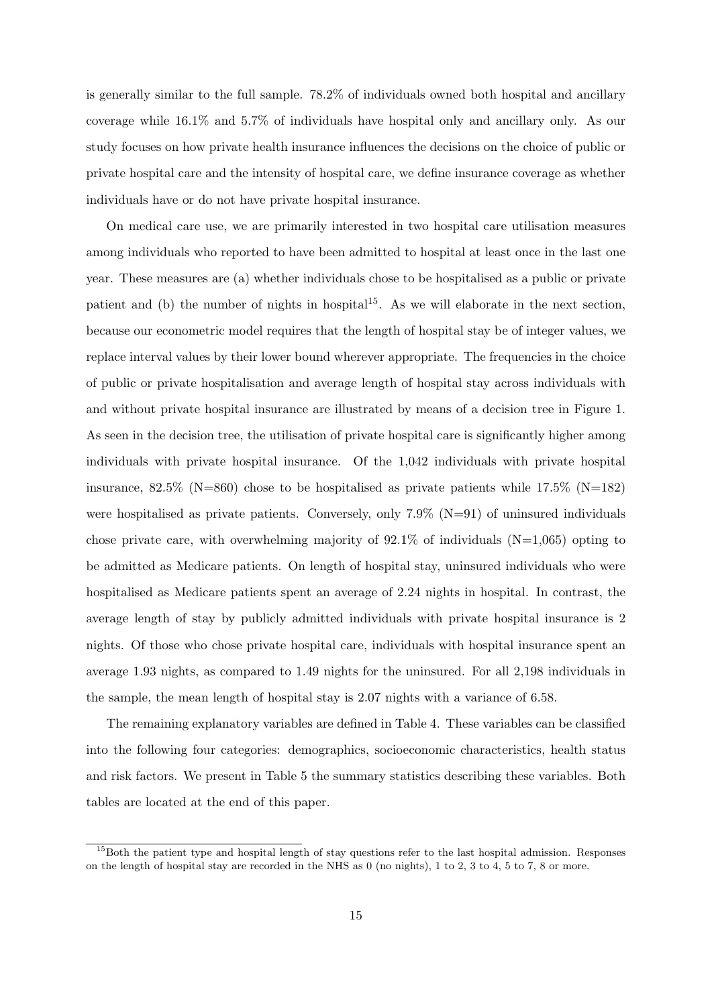is generally similar to the full sample. 78.2% of individuals owned both hospital and ancillary coverage while 16.1% and 5.7% of individuals have hospital only and ancillary only. As our study focuses on how private health insurance influences the decisions on the choice of public or private hospital care and the intensity of hospital care, we define insurance coverage as whether individuals have or do not have private hospital insurance.

On medical care use, we are primarily interested in two hospital care utilisation measures among individuals who reported to have been admitted to hospital at least once in the last one year. These measures are (a) whether individuals chose to be hospitalised as a public or private patient and (b) the number of nights in hospital<sup>15</sup>. As we will elaborate in the next section, because our econometric model requires that the length of hospital stay be of integer values, we replace interval values by their lower bound wherever appropriate. The frequencies in the choice of public or private hospitalisation and average length of hospital stay across individuals with and without private hospital insurance are illustrated by means of a decision tree in Figure 1. As seen in the decision tree, the utilisation of private hospital care is significantly higher among individuals with private hospital insurance. Of the 1,042 individuals with private hospital insurance, 82.5% (N=860) chose to be hospitalised as private patients while  $17.5\%$  (N=182) were hospitalised as private patients. Conversely, only  $7.9\%$  (N=91) of uninsured individuals chose private care, with overwhelming majority of  $92.1\%$  of individuals (N=1,065) opting to be admitted as Medicare patients. On length of hospital stay, uninsured individuals who were hospitalised as Medicare patients spent an average of 2.24 nights in hospital. In contrast, the average length of stay by publicly admitted individuals with private hospital insurance is 2 nights. Of those who chose private hospital care, individuals with hospital insurance spent an average 1.93 nights, as compared to 1.49 nights for the uninsured. For all 2,198 individuals in the sample, the mean length of hospital stay is 2.07 nights with a variance of 6.58.

The remaining explanatory variables are defined in Table 4. These variables can be classified into the following four categories: demographics, socioeconomic characteristics, health status and risk factors. We present in Table 5 the summary statistics describing these variables. Both tables are located at the end of this paper.

<sup>&</sup>lt;sup>15</sup>Both the patient type and hospital length of stay questions refer to the last hospital admission. Responses on the length of hospital stay are recorded in the NHS as 0 (no nights), 1 to 2, 3 to 4, 5 to 7, 8 or more.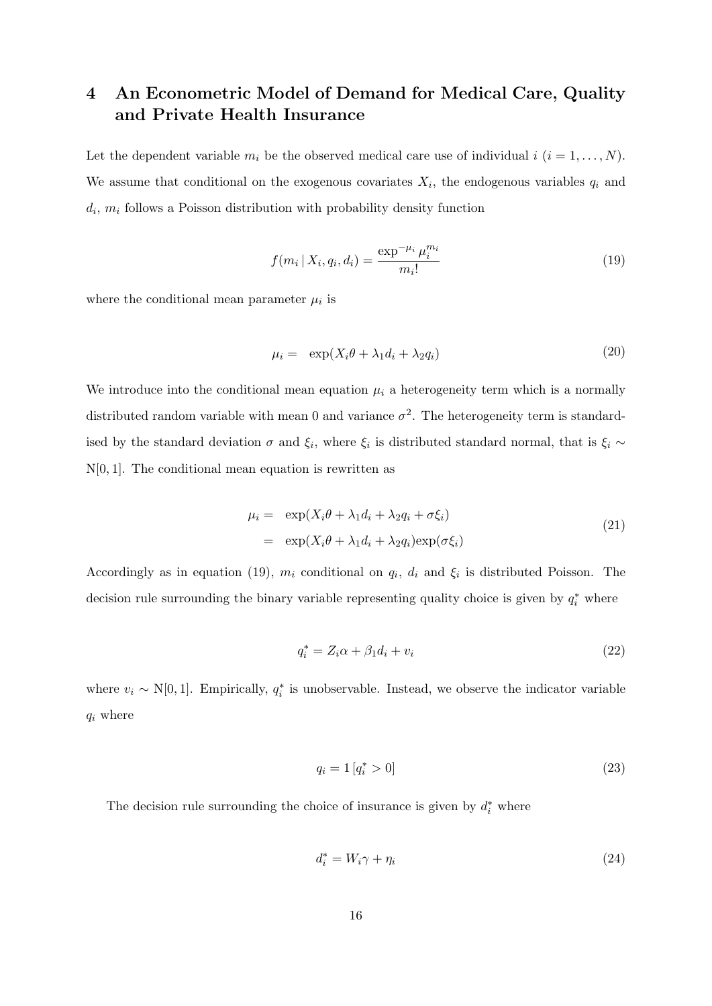# 4 An Econometric Model of Demand for Medical Care, Quality and Private Health Insurance

Let the dependent variable  $m_i$  be the observed medical care use of individual  $i$   $(i = 1, ..., N)$ . We assume that conditional on the exogenous covariates  $X_i$ , the endogenous variables  $q_i$  and  $d_i$ ,  $m_i$  follows a Poisson distribution with probability density function

$$
f(m_i | X_i, q_i, d_i) = \frac{\exp^{-\mu_i} \mu_i^{m_i}}{m_i!}
$$
\n(19)

where the conditional mean parameter  $\mu_i$  is

$$
\mu_i = \exp(X_i \theta + \lambda_1 d_i + \lambda_2 q_i) \tag{20}
$$

We introduce into the conditional mean equation  $\mu_i$  a heterogeneity term which is a normally distributed random variable with mean 0 and variance  $\sigma^2$ . The heterogeneity term is standardised by the standard deviation  $\sigma$  and  $\xi_i$ , where  $\xi_i$  is distributed standard normal, that is  $\xi_i \sim$  $N[0, 1]$ . The conditional mean equation is rewritten as

$$
\mu_i = \exp(X_i \theta + \lambda_1 d_i + \lambda_2 q_i + \sigma \xi_i)
$$
  
= 
$$
\exp(X_i \theta + \lambda_1 d_i + \lambda_2 q_i) \exp(\sigma \xi_i)
$$
 (21)

Accordingly as in equation (19),  $m_i$  conditional on  $q_i$ ,  $d_i$  and  $\xi_i$  is distributed Poisson. The decision rule surrounding the binary variable representing quality choice is given by  $q_i^*$  where

$$
q_i^* = Z_i \alpha + \beta_1 d_i + v_i \tag{22}
$$

where  $v_i \sim N[0, 1]$ . Empirically,  $q_i^*$  is unobservable. Instead, we observe the indicator variable  $q_i$  where

$$
q_i = 1 \left[ q_i^* > 0 \right] \tag{23}
$$

The decision rule surrounding the choice of insurance is given by  $d_i^*$  where

$$
d_i^* = W_i \gamma + \eta_i \tag{24}
$$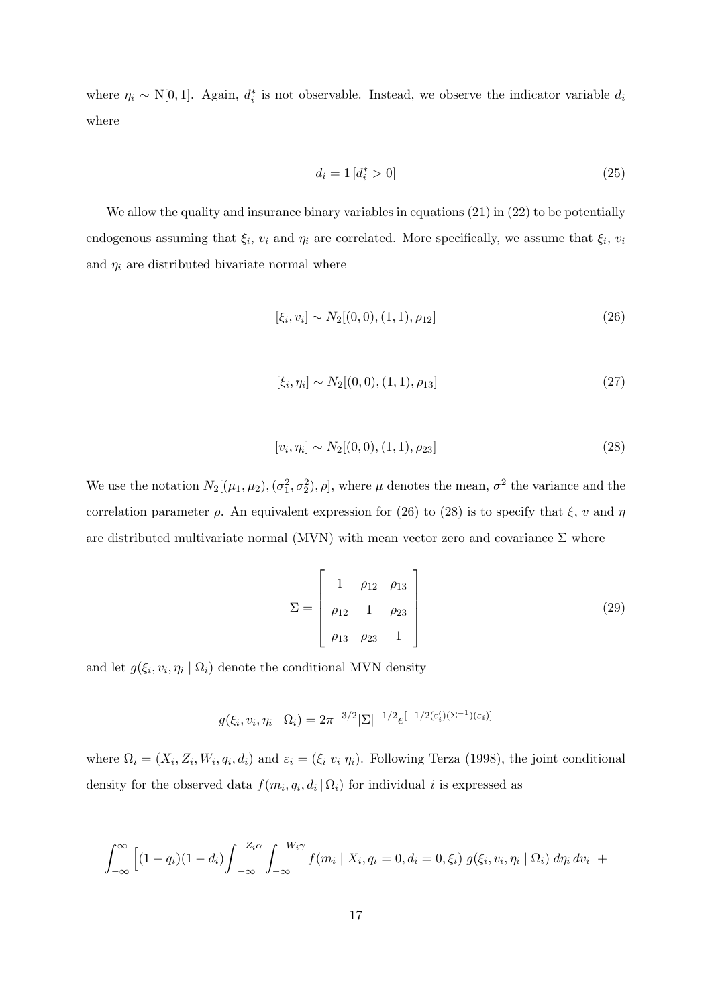where  $\eta_i \sim N[0,1]$ . Again,  $d_i^*$  is not observable. Instead, we observe the indicator variable  $d_i$ where

$$
d_i = 1 \left[ d_i^* > 0 \right] \tag{25}
$$

We allow the quality and insurance binary variables in equations  $(21)$  in  $(22)$  to be potentially endogenous assuming that  $\xi_i$ ,  $v_i$  and  $\eta_i$  are correlated. More specifically, we assume that  $\xi_i$ ,  $v_i$ and  $\eta_i$  are distributed bivariate normal where

$$
[\xi_i, v_i] \sim N_2[(0,0), (1,1), \rho_{12}] \tag{26}
$$

$$
[\xi_i, \eta_i] \sim N_2[(0,0), (1,1), \rho_{13}] \tag{27}
$$

$$
[v_i, \eta_i] \sim N_2[(0,0), (1,1), \rho_{23}] \tag{28}
$$

We use the notation  $N_2[(\mu_1, \mu_2), (\sigma_1^2, \sigma_2^2), \rho]$ , where  $\mu$  denotes the mean,  $\sigma^2$  the variance and the correlation parameter  $\rho$ . An equivalent expression for (26) to (28) is to specify that  $\xi$ , v and  $\eta$ are distributed multivariate normal (MVN) with mean vector zero and covariance  $\Sigma$  where

$$
\Sigma = \begin{bmatrix} 1 & \rho_{12} & \rho_{13} \\ \rho_{12} & 1 & \rho_{23} \\ \rho_{13} & \rho_{23} & 1 \end{bmatrix}
$$
 (29)

and let  $g(\xi_i, v_i, \eta_i \mid \Omega_i)$  denote the conditional MVN density

$$
g(\xi_i, v_i, \eta_i \mid \Omega_i) = 2\pi^{-3/2} |\Sigma|^{-1/2} e^{[-1/2(\varepsilon_i')(\Sigma^{-1})(\varepsilon_i)]}
$$

where  $\Omega_i = (X_i, Z_i, W_i, q_i, d_i)$  and  $\varepsilon_i = (\xi_i \ v_i \ \eta_i)$ . Following Terza (1998), the joint conditional density for the observed data  $f(m_i, q_i, d_i | \Omega_i)$  for individual i is expressed as

$$
\int_{-\infty}^{\infty} \left[ (1 - q_i)(1 - d_i) \int_{-\infty}^{-Z_i \alpha} \int_{-\infty}^{-W_i \gamma} f(m_i \mid X_i, q_i = 0, d_i = 0, \xi_i) g(\xi_i, v_i, \eta_i \mid \Omega_i) d\eta_i d\nu_i \right] +
$$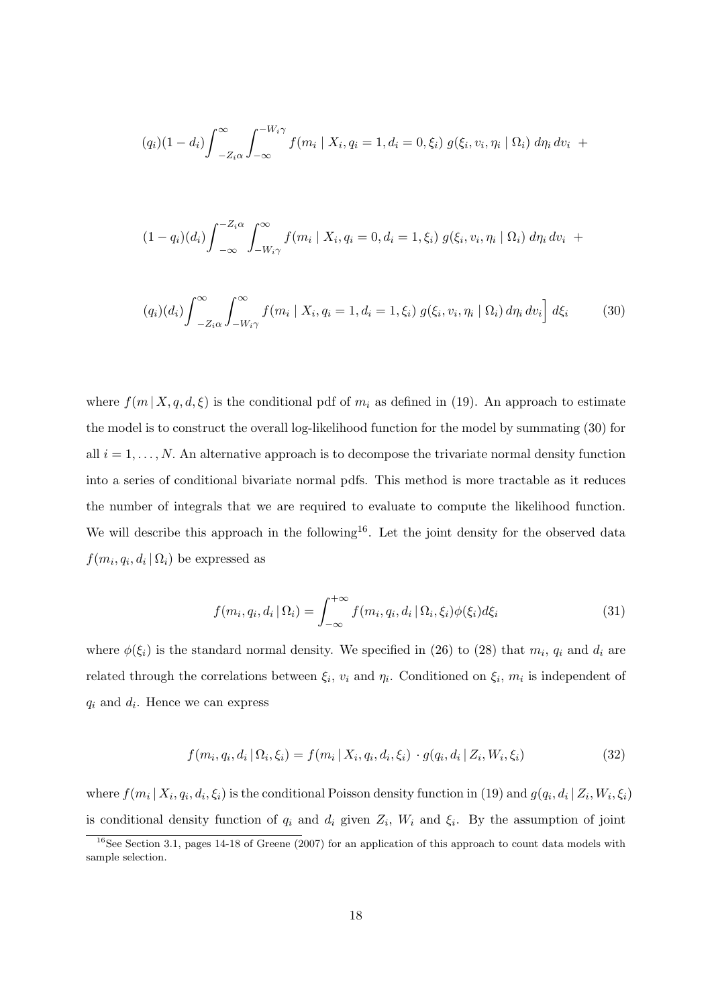$$
(q_i)(1-d_i)\int_{-Z_i\alpha}^{\infty}\int_{-\infty}^{-W_i\gamma}f(m_i\mid X_i,q_i=1,d_i=0,\xi_i) g(\xi_i,v_i,\eta_i\mid\Omega_i) d\eta_i dv_i +
$$

$$
(1 - q_i)(d_i) \int_{-\infty}^{-Z_i \alpha} \int_{-W_i \gamma}^{\infty} f(m_i \mid X_i, q_i = 0, d_i = 1, \xi_i) g(\xi_i, v_i, \eta_i \mid \Omega_i) d\eta_i dv_i +
$$

$$
(q_i)(d_i)\int_{-Z_i\alpha}^{\infty}\int_{-W_i\gamma}^{\infty} f(m_i \mid X_i, q_i = 1, d_i = 1, \xi_i) g(\xi_i, v_i, \eta_i \mid \Omega_i) d\eta_i dv_i\bigg] d\xi_i \tag{30}
$$

where  $f(m | X, q, d, \xi)$  is the conditional pdf of  $m_i$  as defined in (19). An approach to estimate the model is to construct the overall log-likelihood function for the model by summating (30) for all  $i = 1, \ldots, N$ . An alternative approach is to decompose the trivariate normal density function into a series of conditional bivariate normal pdfs. This method is more tractable as it reduces the number of integrals that we are required to evaluate to compute the likelihood function. We will describe this approach in the following<sup>16</sup>. Let the joint density for the observed data  $f(m_i, q_i, d_i | \Omega_i)$  be expressed as

$$
f(m_i, q_i, d_i | \Omega_i) = \int_{-\infty}^{+\infty} f(m_i, q_i, d_i | \Omega_i, \xi_i) \phi(\xi_i) d\xi_i
$$
 (31)

where  $\phi(\xi_i)$  is the standard normal density. We specified in (26) to (28) that  $m_i$ ,  $q_i$  and  $d_i$  are related through the correlations between  $\xi_i$ ,  $v_i$  and  $\eta_i$ . Conditioned on  $\xi_i$ ,  $m_i$  is independent of  $q_i$  and  $d_i$ . Hence we can express

$$
f(m_i, q_i, d_i | \Omega_i, \xi_i) = f(m_i | X_i, q_i, d_i, \xi_i) \cdot g(q_i, d_i | Z_i, W_i, \xi_i)
$$
\n(32)

where  $f(m_i | X_i, q_i, d_i, \xi_i)$  is the conditional Poisson density function in (19) and  $g(q_i, d_i | Z_i, W_i, \xi_i)$ is conditional density function of  $q_i$  and  $d_i$  given  $Z_i$ ,  $W_i$  and  $\xi_i$ . By the assumption of joint

<sup>&</sup>lt;sup>16</sup>See Section 3.1, pages 14-18 of Greene (2007) for an application of this approach to count data models with sample selection.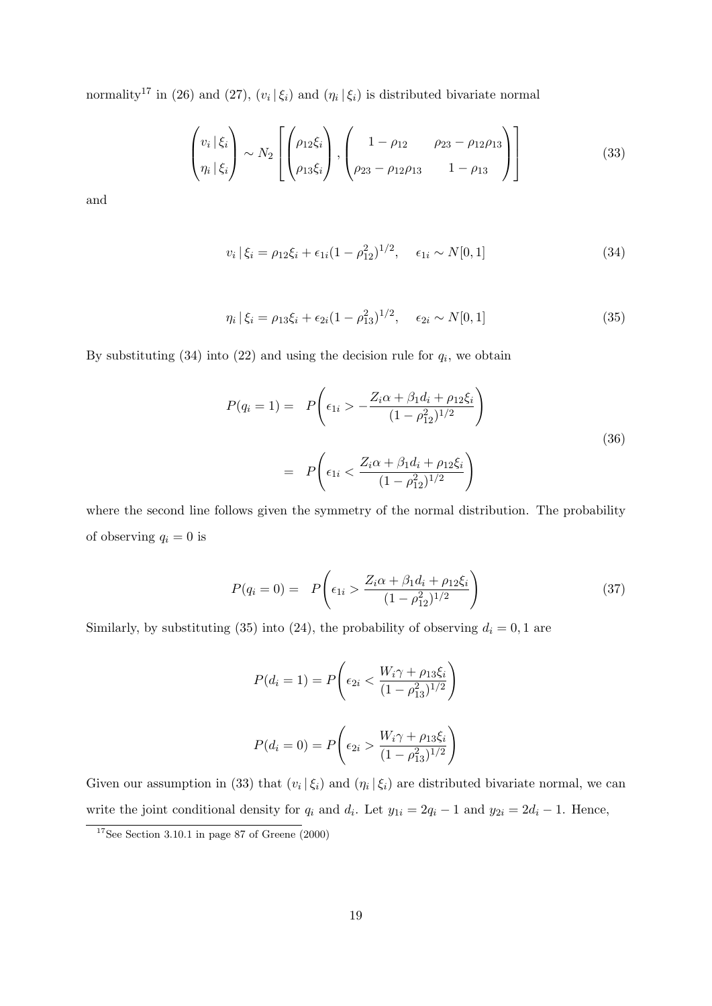normality<sup>17</sup> in (26) and (27),  $(v_i | \xi_i)$  and  $(\eta_i | \xi_i)$  is distributed bivariate normal

$$
\begin{pmatrix} v_i \, | \, \xi_i \\ \eta_i \, | \, \xi_i \end{pmatrix} \sim N_2 \left[ \begin{pmatrix} \rho_{12} \xi_i \\ \rho_{13} \xi_i \end{pmatrix}, \begin{pmatrix} 1 - \rho_{12} & \rho_{23} - \rho_{12} \rho_{13} \\ \rho_{23} - \rho_{12} \rho_{13} & 1 - \rho_{13} \end{pmatrix} \right] \tag{33}
$$

and

$$
v_i | \xi_i = \rho_{12} \xi_i + \epsilon_{1i} (1 - \rho_{12}^2)^{1/2}, \quad \epsilon_{1i} \sim N[0, 1]
$$
 (34)

$$
\eta_i \, |\, \xi_i = \rho_{13} \xi_i + \epsilon_{2i} (1 - \rho_{13}^2)^{1/2}, \quad \epsilon_{2i} \sim N[0, 1] \tag{35}
$$

By substituting  $(34)$  into  $(22)$  and using the decision rule for  $q_i$ , we obtain

$$
P(q_i = 1) = P\left(\epsilon_{1i} > -\frac{Z_i \alpha + \beta_1 d_i + \rho_{12} \xi_i}{(1 - \rho_{12}^2)^{1/2}}\right)
$$
  

$$
= P\left(\epsilon_{1i} < \frac{Z_i \alpha + \beta_1 d_i + \rho_{12} \xi_i}{(1 - \rho_{12}^2)^{1/2}}\right)
$$
(36)

where the second line follows given the symmetry of the normal distribution. The probability of observing  $q_i = 0$  is

$$
P(q_i = 0) = P\left(\epsilon_{1i} > \frac{Z_i \alpha + \beta_1 d_i + \rho_{12} \xi_i}{(1 - \rho_{12}^2)^{1/2}}\right)
$$
\n(37)

Similarly, by substituting (35) into (24), the probability of observing  $d_i = 0, 1$  are

$$
P(d_i = 1) = P\left(\epsilon_{2i} < \frac{W_i\gamma + \rho_{13}\xi_i}{(1 - \rho_{13}^2)^{1/2}}\right)
$$
\n
$$
P(d_i = 0) = P\left(\epsilon_{2i} > \frac{W_i\gamma + \rho_{13}\xi_i}{(1 - \rho_{13}^2)^{1/2}}\right)
$$

Given our assumption in (33) that  $(v_i | \xi_i)$  and  $(\eta_i | \xi_i)$  are distributed bivariate normal, we can write the joint conditional density for  $q_i$  and  $d_i$ . Let  $y_{1i} = 2q_i - 1$  and  $y_{2i} = 2d_i - 1$ . Hence,

 $17$ See Section 3.10.1 in page 87 of Greene (2000)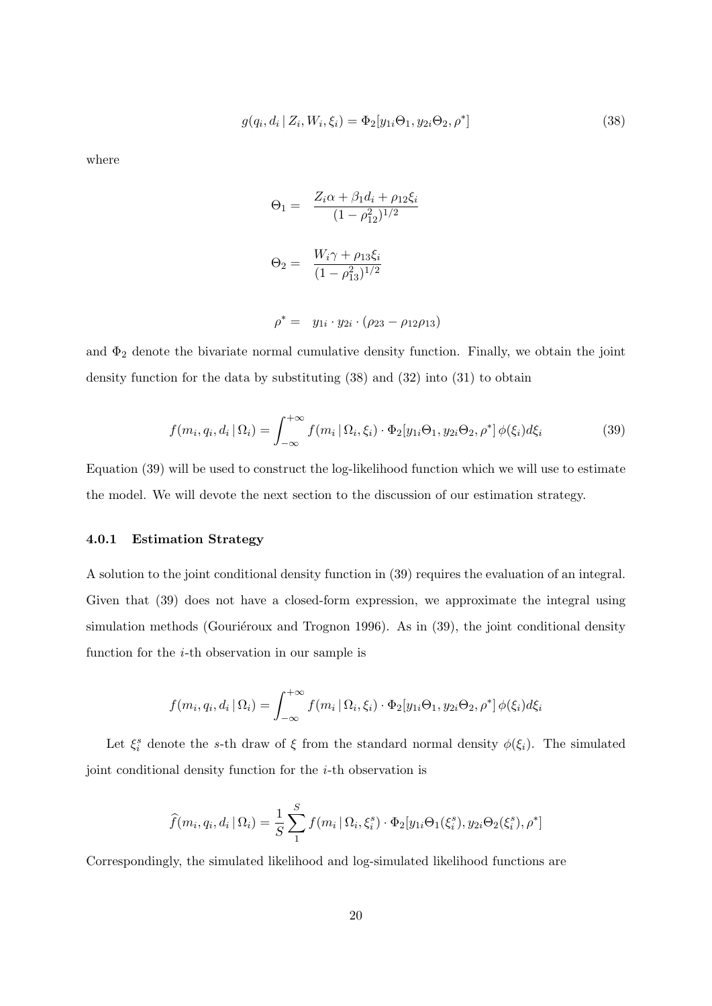$$
g(q_i, d_i | Z_i, W_i, \xi_i) = \Phi_2[y_{1i}\Theta_1, y_{2i}\Theta_2, \rho^*]
$$
\n(38)

where

$$
\Theta_1 = \frac{Z_i \alpha + \beta_1 d_i + \rho_{12} \xi_i}{(1 - \rho_{12}^2)^{1/2}}
$$

$$
\Theta_2 = \frac{W_i \gamma + \rho_{13} \xi_i}{(1 - \rho_{13}^2)^{1/2}}
$$

$$
\rho^* = y_{1i} \cdot y_{2i} \cdot (\rho_{23} - \rho_{12}\rho_{13})
$$

and  $\Phi_2$  denote the bivariate normal cumulative density function. Finally, we obtain the joint density function for the data by substituting (38) and (32) into (31) to obtain

$$
f(m_i, q_i, d_i \mid \Omega_i) = \int_{-\infty}^{+\infty} f(m_i \mid \Omega_i, \xi_i) \cdot \Phi_2[y_{1i}\Theta_1, y_{2i}\Theta_2, \rho^*] \phi(\xi_i) d\xi_i
$$
 (39)

Equation (39) will be used to construct the log-likelihood function which we will use to estimate the model. We will devote the next section to the discussion of our estimation strategy.

#### 4.0.1 Estimation Strategy

A solution to the joint conditional density function in (39) requires the evaluation of an integral. Given that (39) does not have a closed-form expression, we approximate the integral using simulation methods (Gouriéroux and Trognon 1996). As in  $(39)$ , the joint conditional density function for the i-th observation in our sample is

$$
f(m_i, q_i, d_i | \Omega_i) = \int_{-\infty}^{+\infty} f(m_i | \Omega_i, \xi_i) \cdot \Phi_2[y_{1i}\Theta_1, y_{2i}\Theta_2, \rho^*] \phi(\xi_i) d\xi_i
$$

Let  $\xi_i^s$  denote the s-th draw of  $\xi$  from the standard normal density  $\phi(\xi_i)$ . The simulated joint conditional density function for the i-th observation is

$$
\widehat{f}(m_i, q_i, d_i | \Omega_i) = \frac{1}{S} \sum_{1}^{S} f(m_i | \Omega_i, \xi_i^s) \cdot \Phi_2[y_{1i} \Theta_1(\xi_i^s), y_{2i} \Theta_2(\xi_i^s), \rho^*]
$$

Correspondingly, the simulated likelihood and log-simulated likelihood functions are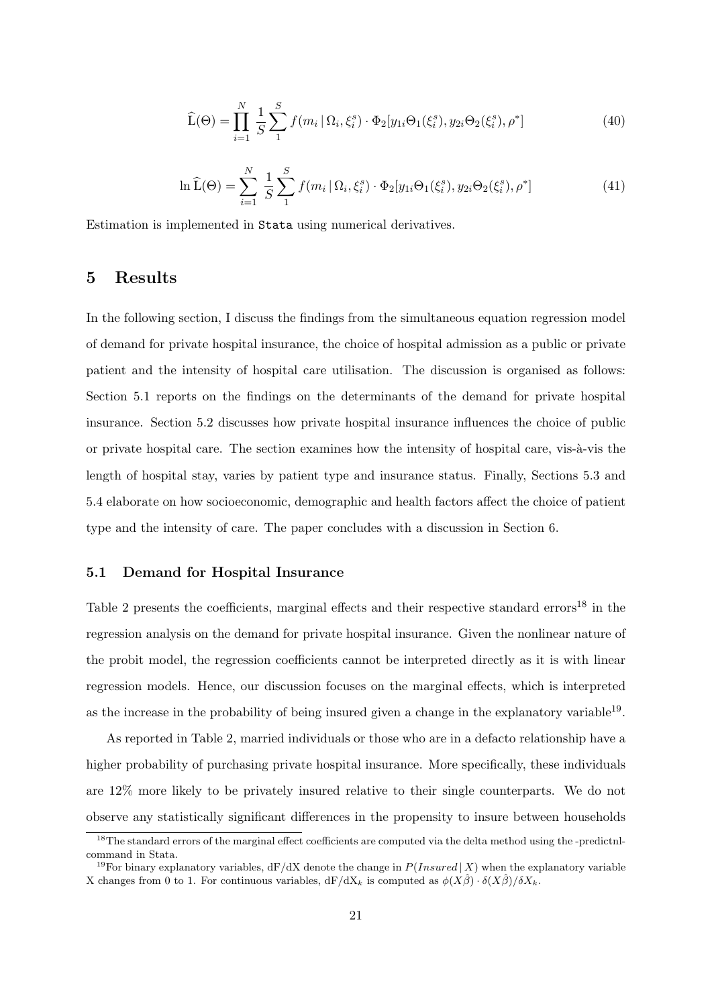$$
\widehat{\mathcal{L}}(\Theta) = \prod_{i=1}^{N} \frac{1}{S} \sum_{1}^{S} f(m_i \, | \, \Omega_i, \xi_i^s) \cdot \Phi_2[y_{1i}\Theta_1(\xi_i^s), y_{2i}\Theta_2(\xi_i^s), \rho^*]
$$
\n(40)

$$
\ln \widehat{L}(\Theta) = \sum_{i=1}^{N} \frac{1}{S} \sum_{1}^{S} f(m_i | \Omega_i, \xi_i^s) \cdot \Phi_2[y_{1i} \Theta_1(\xi_i^s), y_{2i} \Theta_2(\xi_i^s), \rho^*]
$$
(41)

Estimation is implemented in Stata using numerical derivatives.

### 5 Results

In the following section, I discuss the findings from the simultaneous equation regression model of demand for private hospital insurance, the choice of hospital admission as a public or private patient and the intensity of hospital care utilisation. The discussion is organised as follows: Section 5.1 reports on the findings on the determinants of the demand for private hospital insurance. Section 5.2 discusses how private hospital insurance influences the choice of public or private hospital care. The section examines how the intensity of hospital care, vis-à-vis the length of hospital stay, varies by patient type and insurance status. Finally, Sections 5.3 and 5.4 elaborate on how socioeconomic, demographic and health factors affect the choice of patient type and the intensity of care. The paper concludes with a discussion in Section 6.

### 5.1 Demand for Hospital Insurance

Table 2 presents the coefficients, marginal effects and their respective standard errors<sup>18</sup> in the regression analysis on the demand for private hospital insurance. Given the nonlinear nature of the probit model, the regression coefficients cannot be interpreted directly as it is with linear regression models. Hence, our discussion focuses on the marginal effects, which is interpreted as the increase in the probability of being insured given a change in the explanatory variable  $19$ .

As reported in Table 2, married individuals or those who are in a defacto relationship have a higher probability of purchasing private hospital insurance. More specifically, these individuals are 12% more likely to be privately insured relative to their single counterparts. We do not observe any statistically significant differences in the propensity to insure between households

<sup>&</sup>lt;sup>18</sup>The standard errors of the marginal effect coefficients are computed via the delta method using the -predictnlcommand in Stata.

<sup>&</sup>lt;sup>19</sup>For binary explanatory variables,  $dF/dX$  denote the change in  $P(Insured | X)$  when the explanatory variable X changes from 0 to 1. For continuous variables,  $dF/dX_k$  is computed as  $\phi(X\hat{\beta}) \cdot \delta(X\hat{\beta})/\delta X_k$ .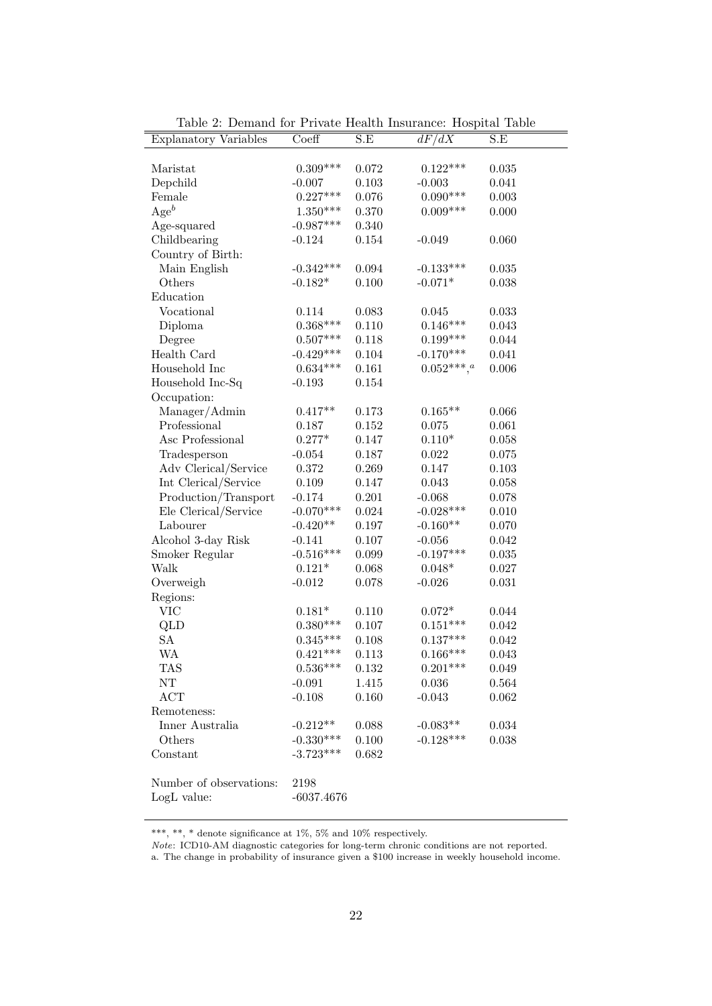| <b>Explanatory Variables</b> | Coeff           | S.E         | dF/dX              | S.E         |
|------------------------------|-----------------|-------------|--------------------|-------------|
|                              |                 |             |                    |             |
| Maristat                     | $0.309***$      | 0.072       | $0.122***$         | 0.035       |
| Depchild                     | $-0.007$        | 0.103       | $-0.003$           | 0.041       |
| Female                       | $0.227***$      | 0.076       | $0.090***$         | $\,0.003\,$ |
| $Age^b$                      | $1.350^{***}\;$ | 0.370       | $0.009***$         | 0.000       |
| Age-squared                  | $-0.987***$     | 0.340       |                    |             |
| Childbearing                 | $-0.124$        | $0.154\,$   | $-0.049$           | 0.060       |
| Country of Birth:            |                 |             |                    |             |
| Main English                 | $-0.342***$     | 0.094       | $-0.133***$        | 0.035       |
| Others                       | $-0.182*$       | 0.100       | $-0.071*$          | 0.038       |
| Education                    |                 |             |                    |             |
| Vocational                   | 0.114           | 0.083       | 0.045              | 0.033       |
| Diploma                      | $0.368***$      | 0.110       | $0.146***$         | 0.043       |
| Degree                       | $0.507***$      | 0.118       | $0.199***$         | 0.044       |
| Health Card                  | $-0.429***$     | 0.104       | $-0.170***$        | 0.041       |
| Household Inc                | $0.634***$      | 0.161       | $0.052^{***},^a\,$ | 0.006       |
| Household Inc-Sq             | $-0.193$        | $0.154\,$   |                    |             |
| Occupation:                  |                 |             |                    |             |
| Manager/Admin                | $0.417**$       | 0.173       | $0.165**$          | 0.066       |
| Professional                 | 0.187           | 0.152       | 0.075              | 0.061       |
| Asc Professional             | $0.277*$        | 0.147       | $0.110*$           | 0.058       |
| Tradesperson                 | $-0.054$        | 0.187       | 0.022              | 0.075       |
| Adv Clerical/Service         | 0.372           | 0.269       | 0.147              | 0.103       |
| Int Clerical/Service         | 0.109           | 0.147       | 0.043              | 0.058       |
| Production/Transport         | $-0.174$        | 0.201       | $-0.068$           | 0.078       |
| Ele Clerical/Service         | $-0.070***$     | $\,0.024\,$ | $-0.028***$        | 0.010       |
| Labourer                     | $-0.420**$      | 0.197       | $-0.160**$         | 0.070       |
| Alcohol 3-day Risk           | $-0.141$        | 0.107       | $-0.056$           | $\,0.042\,$ |
| Smoker Regular               | $-0.516***$     | 0.099       | $-0.197***$        | $\,0.035\,$ |
| Walk                         | $0.121*$        | 0.068       | $0.048*$           | 0.027       |
| Overweigh                    | $-0.012$        | 0.078       | $-0.026$           | 0.031       |
| Regions:                     |                 |             |                    |             |
| <b>VIC</b>                   | $0.181*$        | 0.110       | $0.072*$           | 0.044       |
| QLD                          | $0.380***$      | 0.107       | $0.151***$         | $\,0.042\,$ |
| SA                           | $0.345***$      | 0.108       | $0.137***$         | 0.042       |
| <b>WA</b>                    | $0.421***$      | 0.113       | $0.166***$         | 0.043       |
| <b>TAS</b>                   | $0.536***$      | 0.132       | $0.201***$         | 0.049       |
| NT                           | $-0.091$        | 1.415       | 0.036              | 0.564       |
| $\mathbf{ACT}$               | $-0.108$        | 0.160       | $-0.043$           | 0.062       |
| Remoteness:                  |                 |             |                    |             |
| Inner Australia              | $-0.212**$      | 0.088       | $-0.083**$         | 0.034       |
| Others                       | $-0.330***$     | $0.100\,$   | $-0.128***$        | 0.038       |
| Constant                     | $-3.723***$     | 0.682       |                    |             |
|                              |                 |             |                    |             |
| Number of observations:      | 2198            |             |                    |             |
| LogL value:                  | $-6037.4676$    |             |                    |             |

Table 2: Demand for Private Health Insurance: Hospital Table

\*\*\*, \*\*, \* denote significance at  $1\%$ , 5% and  $10\%$  respectively.

Note: ICD10-AM diagnostic categories for long-term chronic conditions are not reported.

a. The change in probability of insurance given a \$100 increase in weekly household income.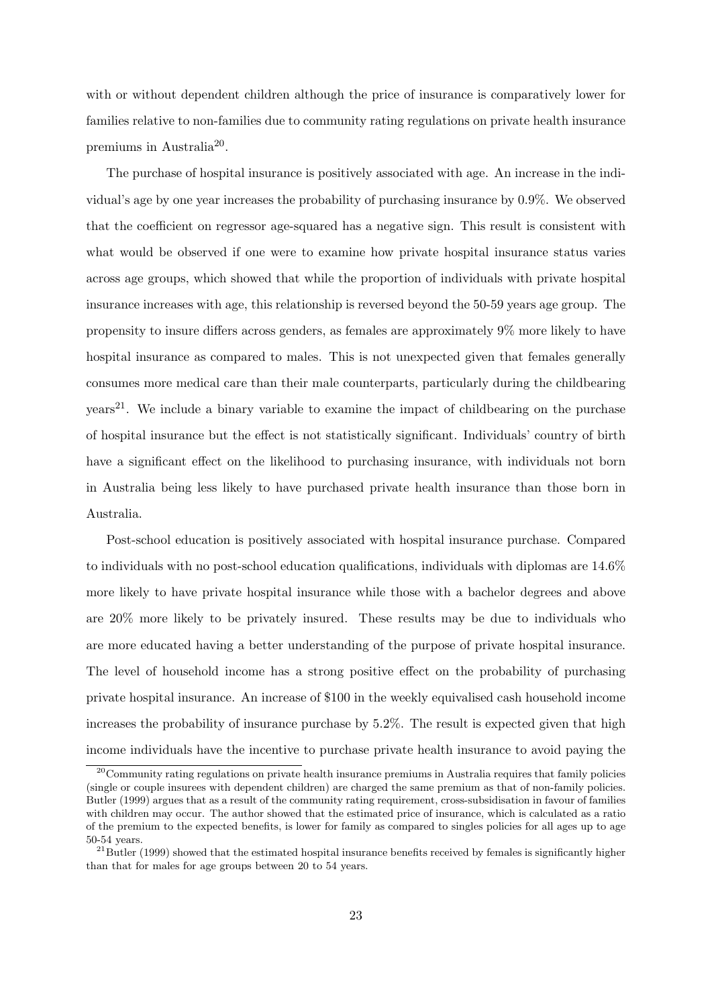with or without dependent children although the price of insurance is comparatively lower for families relative to non-families due to community rating regulations on private health insurance premiums in Australia<sup>20</sup>.

The purchase of hospital insurance is positively associated with age. An increase in the individual's age by one year increases the probability of purchasing insurance by 0.9%. We observed that the coefficient on regressor age-squared has a negative sign. This result is consistent with what would be observed if one were to examine how private hospital insurance status varies across age groups, which showed that while the proportion of individuals with private hospital insurance increases with age, this relationship is reversed beyond the 50-59 years age group. The propensity to insure differs across genders, as females are approximately 9% more likely to have hospital insurance as compared to males. This is not unexpected given that females generally consumes more medical care than their male counterparts, particularly during the childbearing  $years<sup>21</sup>$ . We include a binary variable to examine the impact of childbearing on the purchase of hospital insurance but the effect is not statistically significant. Individuals' country of birth have a significant effect on the likelihood to purchasing insurance, with individuals not born in Australia being less likely to have purchased private health insurance than those born in Australia.

Post-school education is positively associated with hospital insurance purchase. Compared to individuals with no post-school education qualifications, individuals with diplomas are 14.6% more likely to have private hospital insurance while those with a bachelor degrees and above are 20% more likely to be privately insured. These results may be due to individuals who are more educated having a better understanding of the purpose of private hospital insurance. The level of household income has a strong positive effect on the probability of purchasing private hospital insurance. An increase of \$100 in the weekly equivalised cash household income increases the probability of insurance purchase by 5.2%. The result is expected given that high income individuals have the incentive to purchase private health insurance to avoid paying the

<sup>&</sup>lt;sup>20</sup>Community rating regulations on private health insurance premiums in Australia requires that family policies (single or couple insurees with dependent children) are charged the same premium as that of non-family policies. Butler (1999) argues that as a result of the community rating requirement, cross-subsidisation in favour of families with children may occur. The author showed that the estimated price of insurance, which is calculated as a ratio of the premium to the expected benefits, is lower for family as compared to singles policies for all ages up to age 50-54 years.

 $^{21}$ Butler (1999) showed that the estimated hospital insurance benefits received by females is significantly higher than that for males for age groups between 20 to 54 years.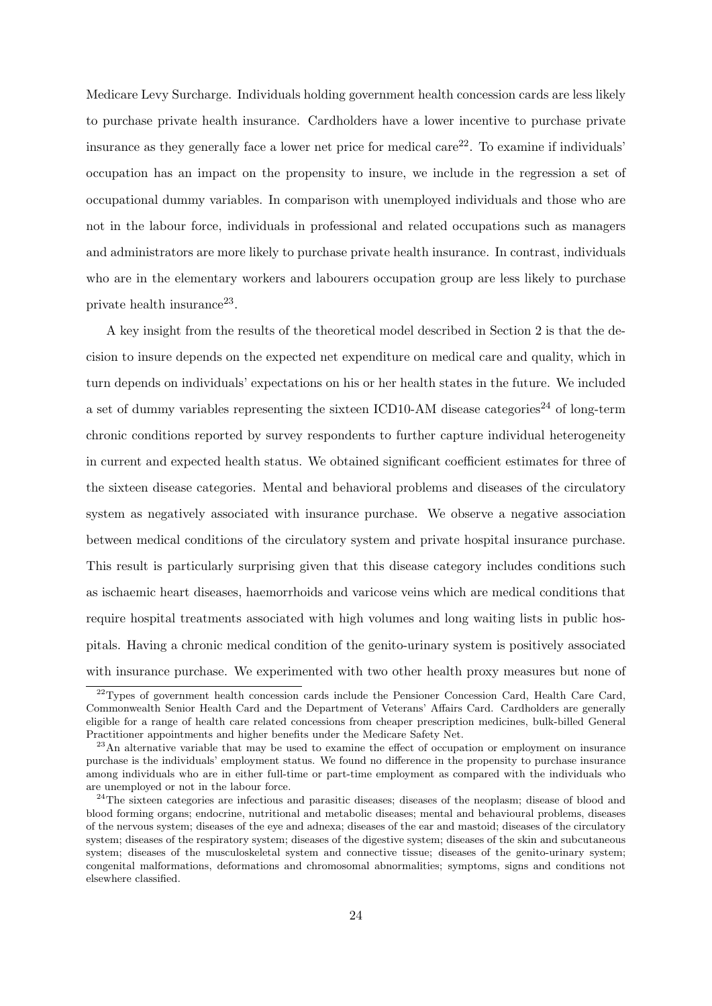Medicare Levy Surcharge. Individuals holding government health concession cards are less likely to purchase private health insurance. Cardholders have a lower incentive to purchase private insurance as they generally face a lower net price for medical care<sup>22</sup>. To examine if individuals' occupation has an impact on the propensity to insure, we include in the regression a set of occupational dummy variables. In comparison with unemployed individuals and those who are not in the labour force, individuals in professional and related occupations such as managers and administrators are more likely to purchase private health insurance. In contrast, individuals who are in the elementary workers and labourers occupation group are less likely to purchase private health insurance<sup>23</sup>.

A key insight from the results of the theoretical model described in Section 2 is that the decision to insure depends on the expected net expenditure on medical care and quality, which in turn depends on individuals' expectations on his or her health states in the future. We included a set of dummy variables representing the sixteen ICD10-AM disease categories<sup>24</sup> of long-term chronic conditions reported by survey respondents to further capture individual heterogeneity in current and expected health status. We obtained significant coefficient estimates for three of the sixteen disease categories. Mental and behavioral problems and diseases of the circulatory system as negatively associated with insurance purchase. We observe a negative association between medical conditions of the circulatory system and private hospital insurance purchase. This result is particularly surprising given that this disease category includes conditions such as ischaemic heart diseases, haemorrhoids and varicose veins which are medical conditions that require hospital treatments associated with high volumes and long waiting lists in public hospitals. Having a chronic medical condition of the genito-urinary system is positively associated with insurance purchase. We experimented with two other health proxy measures but none of

<sup>&</sup>lt;sup>22</sup>Types of government health concession cards include the Pensioner Concession Card, Health Care Card, Commonwealth Senior Health Card and the Department of Veterans' Affairs Card. Cardholders are generally eligible for a range of health care related concessions from cheaper prescription medicines, bulk-billed General Practitioner appointments and higher benefits under the Medicare Safety Net.

 $^{23}$ An alternative variable that may be used to examine the effect of occupation or employment on insurance purchase is the individuals' employment status. We found no difference in the propensity to purchase insurance among individuals who are in either full-time or part-time employment as compared with the individuals who are unemployed or not in the labour force.

<sup>&</sup>lt;sup>24</sup>The sixteen categories are infectious and parasitic diseases; diseases of the neoplasm; disease of blood and blood forming organs; endocrine, nutritional and metabolic diseases; mental and behavioural problems, diseases of the nervous system; diseases of the eye and adnexa; diseases of the ear and mastoid; diseases of the circulatory system; diseases of the respiratory system; diseases of the digestive system; diseases of the skin and subcutaneous system; diseases of the musculoskeletal system and connective tissue; diseases of the genito-urinary system; congenital malformations, deformations and chromosomal abnormalities; symptoms, signs and conditions not elsewhere classified.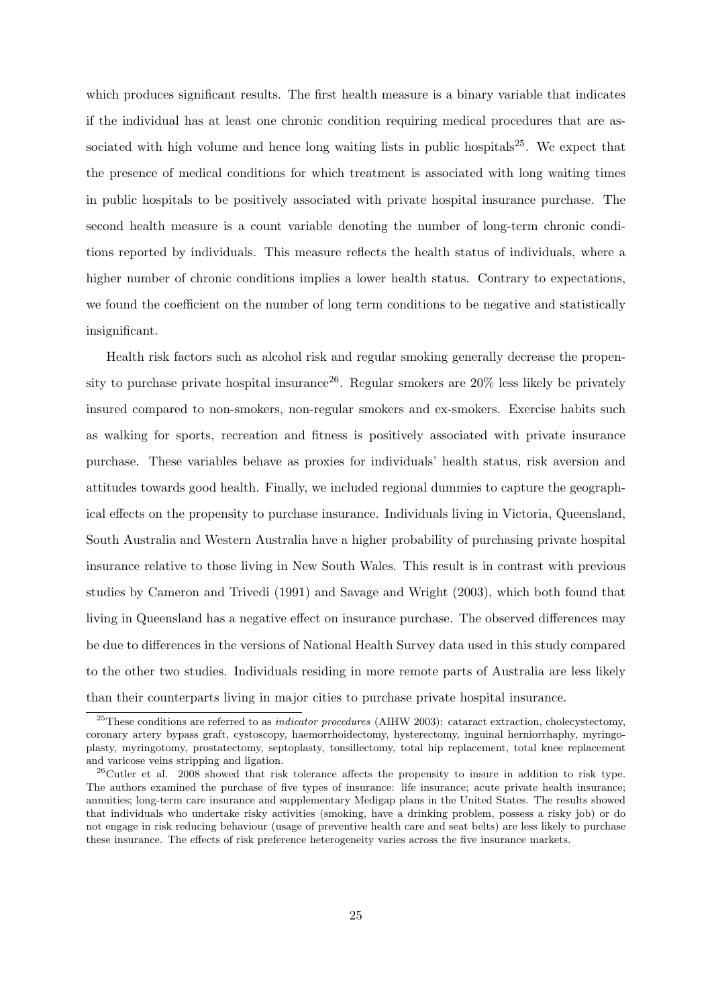which produces significant results. The first health measure is a binary variable that indicates if the individual has at least one chronic condition requiring medical procedures that are associated with high volume and hence long waiting lists in public hospitals<sup>25</sup>. We expect that the presence of medical conditions for which treatment is associated with long waiting times in public hospitals to be positively associated with private hospital insurance purchase. The second health measure is a count variable denoting the number of long-term chronic conditions reported by individuals. This measure reflects the health status of individuals, where a higher number of chronic conditions implies a lower health status. Contrary to expectations, we found the coefficient on the number of long term conditions to be negative and statistically insignificant.

Health risk factors such as alcohol risk and regular smoking generally decrease the propensity to purchase private hospital insurance<sup>26</sup>. Regular smokers are  $20\%$  less likely be privately insured compared to non-smokers, non-regular smokers and ex-smokers. Exercise habits such as walking for sports, recreation and fitness is positively associated with private insurance purchase. These variables behave as proxies for individuals' health status, risk aversion and attitudes towards good health. Finally, we included regional dummies to capture the geographical effects on the propensity to purchase insurance. Individuals living in Victoria, Queensland, South Australia and Western Australia have a higher probability of purchasing private hospital insurance relative to those living in New South Wales. This result is in contrast with previous studies by Cameron and Trivedi (1991) and Savage and Wright (2003), which both found that living in Queensland has a negative effect on insurance purchase. The observed differences may be due to differences in the versions of National Health Survey data used in this study compared to the other two studies. Individuals residing in more remote parts of Australia are less likely than their counterparts living in major cities to purchase private hospital insurance.

<sup>&</sup>lt;sup>25</sup>These conditions are referred to as *indicator procedures* (AIHW 2003): cataract extraction, cholecystectomy, coronary artery bypass graft, cystoscopy, haemorrhoidectomy, hysterectomy, inguinal herniorrhaphy, myringoplasty, myringotomy, prostatectomy, septoplasty, tonsillectomy, total hip replacement, total knee replacement and varicose veins stripping and ligation.

 $^{26}$ Cutler et al. 2008 showed that risk tolerance affects the propensity to insure in addition to risk type. The authors examined the purchase of five types of insurance: life insurance; acute private health insurance; annuities; long-term care insurance and supplementary Medigap plans in the United States. The results showed that individuals who undertake risky activities (smoking, have a drinking problem, possess a risky job) or do not engage in risk reducing behaviour (usage of preventive health care and seat belts) are less likely to purchase these insurance. The effects of risk preference heterogeneity varies across the five insurance markets.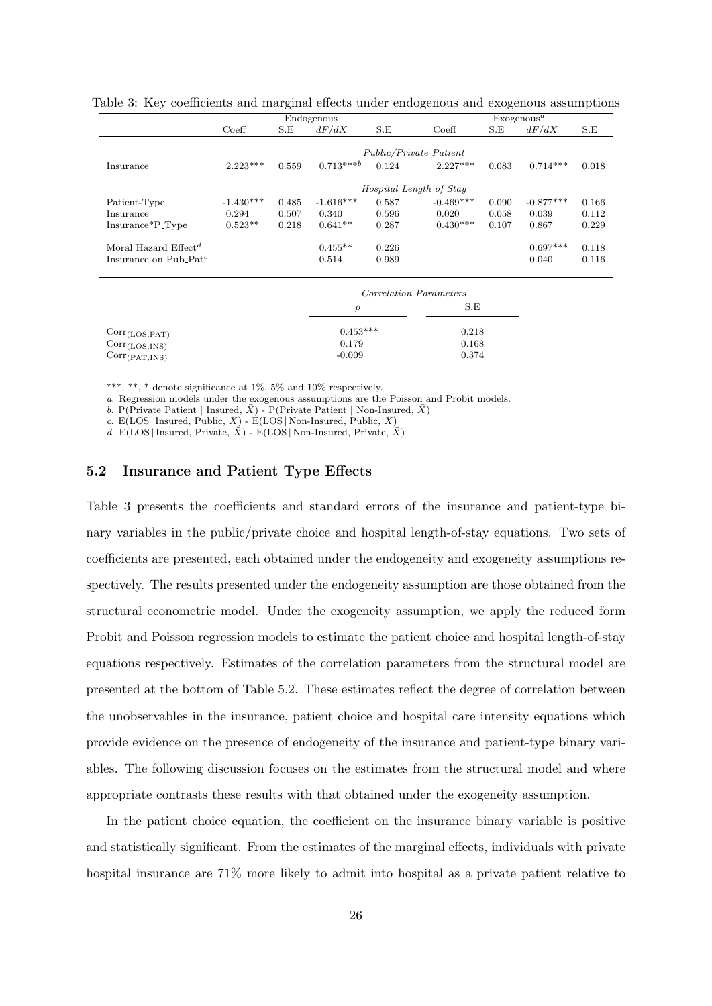|                                                       |             |       | Endogenous  |       |                         |       | Exogenous <sup>a</sup> |       |
|-------------------------------------------------------|-------------|-------|-------------|-------|-------------------------|-------|------------------------|-------|
|                                                       | Coeff       | S.E   | dF/dX       | S.E   | Coeff                   | S.E   | dF/dX                  | S.E   |
|                                                       |             |       |             |       |                         |       |                        |       |
|                                                       |             |       |             |       | Public/Private Patient  |       |                        |       |
| Insurance                                             | $2.223***$  | 0.559 | $0.713***$  | 0.124 | $2.227***$              | 0.083 | $0.714***$             | 0.018 |
|                                                       |             |       |             |       | Hospital Length of Stay |       |                        |       |
| Patient-Type                                          | $-1.430***$ | 0.485 | $-1.616***$ | 0.587 | $-0.469***$             | 0.090 | $-0.877***$            | 0.166 |
| Insurance                                             | 0.294       | 0.507 | 0.340       | 0.596 | 0.020                   | 0.058 | 0.039                  | 0.112 |
| Insurance*P <sub>-Type</sub>                          | $0.523**$   | 0.218 | $0.641**$   | 0.287 | $0.430***$              | 0.107 | 0.867                  | 0.229 |
| Moral Hazard Effect <sup>d</sup>                      |             |       | $0.455**$   | 0.226 |                         |       | $0.697***$             | 0.118 |
| Insurance on Pub <sub>-Pat</sub> <sup>c</sup>         |             |       | 0.514       | 0.989 |                         |       | 0.040                  | 0.116 |
|                                                       |             |       |             |       | Correlation Parameters  |       |                        |       |
|                                                       |             |       | $\rho$      |       | S.E                     |       |                        |       |
| $Corr_{(LOS, PAT)}$                                   |             |       | $0.453***$  |       | 0.218                   |       |                        |       |
| $Corr_{\alpha \circ \alpha \cdot \mathbf{M}(\alpha)}$ |             |       | 0.179       |       | 0.168                   |       |                        |       |

Table 3: Key coefficients and marginal effects under endogenous and exogenous assumptions

\*\*\*, \*\*, \* denote significance at 1%, 5% and 10% respectively.

 $Corr<sub>(PAT,INS)</sub>$ 

a. Regression models under the exogenous assumptions are the Poisson and Probit models.

 $Corr_{(LOS,INS)}$  0.179 0.168<br>  $Corr_{(DAT,INS)}$  0.179 0.168

b. P(Private Patient | Insured, $\bar{X})$  - P(Private Patient | Non-Insured,  $\bar{X})$ 

c. E(LOS | Insured, Public,  $\bar{X}$ ) - E(LOS | Non-Insured, Public,  $\bar{X}$ )

d. E(LOS | Insured, Private,  $\overline{X}$ ) - E(LOS | Non-Insured, Private,  $\overline{X}$ )

### 5.2 Insurance and Patient Type Effects

Table 3 presents the coefficients and standard errors of the insurance and patient-type binary variables in the public/private choice and hospital length-of-stay equations. Two sets of coefficients are presented, each obtained under the endogeneity and exogeneity assumptions respectively. The results presented under the endogeneity assumption are those obtained from the structural econometric model. Under the exogeneity assumption, we apply the reduced form Probit and Poisson regression models to estimate the patient choice and hospital length-of-stay equations respectively. Estimates of the correlation parameters from the structural model are presented at the bottom of Table 5.2. These estimates reflect the degree of correlation between the unobservables in the insurance, patient choice and hospital care intensity equations which provide evidence on the presence of endogeneity of the insurance and patient-type binary variables. The following discussion focuses on the estimates from the structural model and where appropriate contrasts these results with that obtained under the exogeneity assumption.

In the patient choice equation, the coefficient on the insurance binary variable is positive and statistically significant. From the estimates of the marginal effects, individuals with private hospital insurance are 71% more likely to admit into hospital as a private patient relative to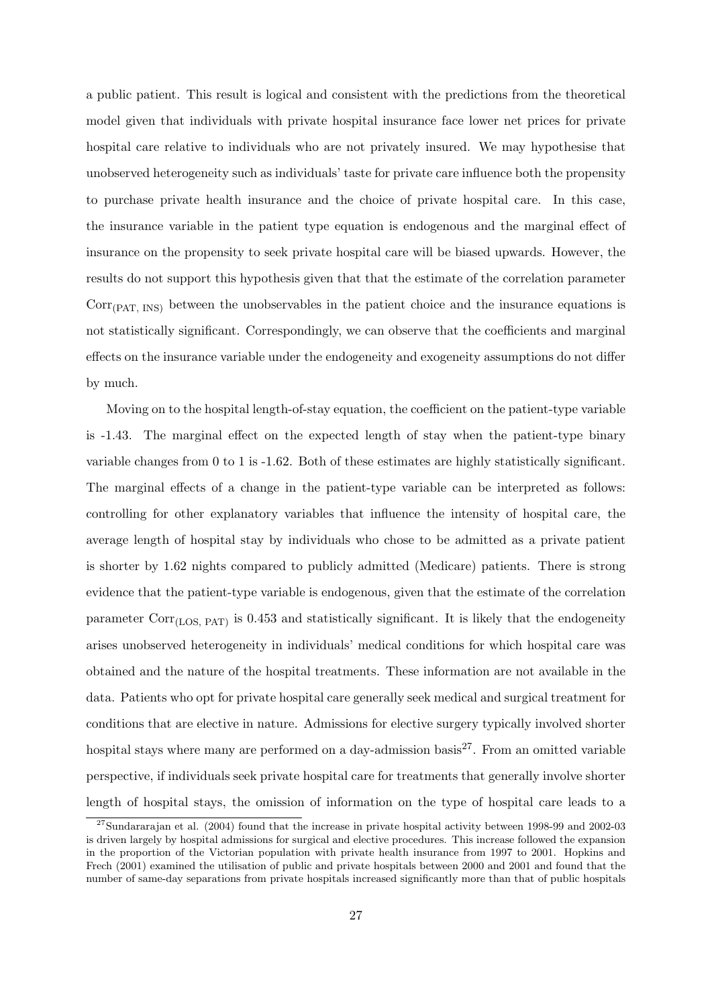a public patient. This result is logical and consistent with the predictions from the theoretical model given that individuals with private hospital insurance face lower net prices for private hospital care relative to individuals who are not privately insured. We may hypothesise that unobserved heterogeneity such as individuals' taste for private care influence both the propensity to purchase private health insurance and the choice of private hospital care. In this case, the insurance variable in the patient type equation is endogenous and the marginal effect of insurance on the propensity to seek private hospital care will be biased upwards. However, the results do not support this hypothesis given that that the estimate of the correlation parameter  $Corr<sub>(PAT, INS)</sub>$  between the unobservables in the patient choice and the insurance equations is not statistically significant. Correspondingly, we can observe that the coefficients and marginal effects on the insurance variable under the endogeneity and exogeneity assumptions do not differ by much.

Moving on to the hospital length-of-stay equation, the coefficient on the patient-type variable is -1.43. The marginal effect on the expected length of stay when the patient-type binary variable changes from 0 to 1 is -1.62. Both of these estimates are highly statistically significant. The marginal effects of a change in the patient-type variable can be interpreted as follows: controlling for other explanatory variables that influence the intensity of hospital care, the average length of hospital stay by individuals who chose to be admitted as a private patient is shorter by 1.62 nights compared to publicly admitted (Medicare) patients. There is strong evidence that the patient-type variable is endogenous, given that the estimate of the correlation parameter  $Corr<sub>(LOS, PAT)</sub>$  is 0.453 and statistically significant. It is likely that the endogeneity arises unobserved heterogeneity in individuals' medical conditions for which hospital care was obtained and the nature of the hospital treatments. These information are not available in the data. Patients who opt for private hospital care generally seek medical and surgical treatment for conditions that are elective in nature. Admissions for elective surgery typically involved shorter hospital stays where many are performed on a day-admission basis<sup>27</sup>. From an omitted variable perspective, if individuals seek private hospital care for treatments that generally involve shorter length of hospital stays, the omission of information on the type of hospital care leads to a

 $27$ Sundararajan et al. (2004) found that the increase in private hospital activity between 1998-99 and 2002-03 is driven largely by hospital admissions for surgical and elective procedures. This increase followed the expansion in the proportion of the Victorian population with private health insurance from 1997 to 2001. Hopkins and Frech (2001) examined the utilisation of public and private hospitals between 2000 and 2001 and found that the number of same-day separations from private hospitals increased significantly more than that of public hospitals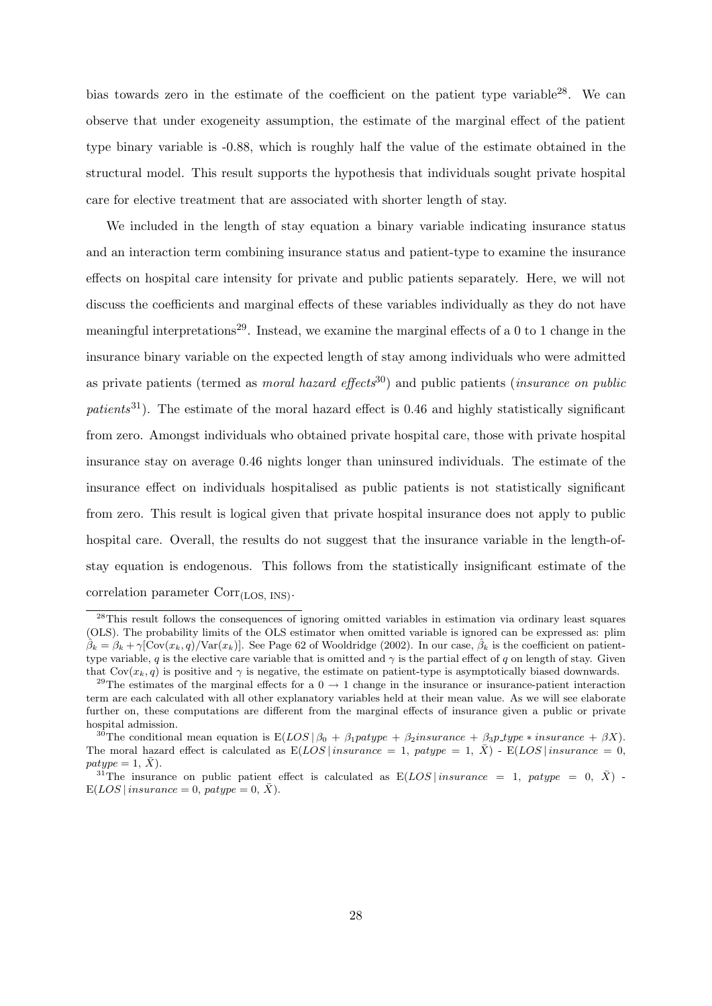bias towards zero in the estimate of the coefficient on the patient type variable  $^{28}$ . We can observe that under exogeneity assumption, the estimate of the marginal effect of the patient type binary variable is -0.88, which is roughly half the value of the estimate obtained in the structural model. This result supports the hypothesis that individuals sought private hospital care for elective treatment that are associated with shorter length of stay.

We included in the length of stay equation a binary variable indicating insurance status and an interaction term combining insurance status and patient-type to examine the insurance effects on hospital care intensity for private and public patients separately. Here, we will not discuss the coefficients and marginal effects of these variables individually as they do not have meaningful interpretations<sup>29</sup>. Instead, we examine the marginal effects of a 0 to 1 change in the insurance binary variable on the expected length of stay among individuals who were admitted as private patients (termed as *moral hazard effects*<sup>30</sup>) and public patients (*insurance on public*  $patients^{31}$ ). The estimate of the moral hazard effect is 0.46 and highly statistically significant from zero. Amongst individuals who obtained private hospital care, those with private hospital insurance stay on average 0.46 nights longer than uninsured individuals. The estimate of the insurance effect on individuals hospitalised as public patients is not statistically significant from zero. This result is logical given that private hospital insurance does not apply to public hospital care. Overall, the results do not suggest that the insurance variable in the length-ofstay equation is endogenous. This follows from the statistically insignificant estimate of the correlation parameter Corr<sub>(LOS, INS)</sub>.

<sup>&</sup>lt;sup>28</sup>This result follows the consequences of ignoring omitted variables in estimation via ordinary least squares (OLS). The probability limits of the OLS estimator when omitted variable is ignored can be expressed as: plim  $\hat{\beta}_k = \beta_k + \gamma[\text{Cov}(x_k, q)/\text{Var}(x_k)]$ . See Page 62 of Wooldridge (2002). In our case,  $\hat{\beta}_k$  is the coefficient on patienttype variable, q is the elective care variable that is omitted and  $\gamma$  is the partial effect of q on length of stay. Given that  $Cov(x_k, q)$  is positive and  $\gamma$  is negative, the estimate on patient-type is asymptotically biased downwards.

<sup>&</sup>lt;sup>29</sup>The estimates of the marginal effects for a  $0 \rightarrow 1$  change in the insurance or insurance-patient interaction term are each calculated with all other explanatory variables held at their mean value. As we will see elaborate further on, these computations are different from the marginal effects of insurance given a public or private hospital admission.

<sup>&</sup>lt;sup>30</sup>The conditional mean equation is  $E(LOS | \beta_0 + \beta_1$  patype +  $\beta_2$ insurance +  $\beta_3$ p\_type \* insurance +  $\beta X$ ). The moral hazard effect is calculated as  $E(LOS | insurance = 1, patype = 1, \bar{X}) - E(LOS | insurance = 0,$  $patype = 1, \overline{X}).$ 

<sup>&</sup>lt;sup>31</sup>The insurance on public patient effect is calculated as  $E(LOS|$  *insurance* = 1, patype = 0,  $\bar{X}$ ) - $E(LOS | insurance = 0, patype = 0, X).$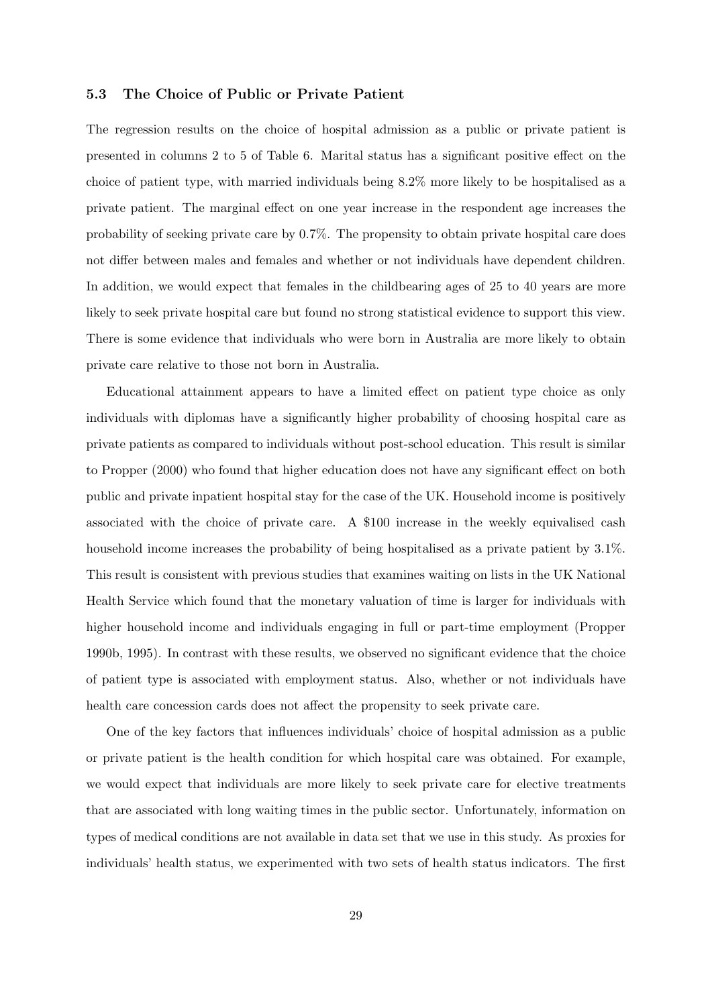### 5.3 The Choice of Public or Private Patient

The regression results on the choice of hospital admission as a public or private patient is presented in columns 2 to 5 of Table 6. Marital status has a significant positive effect on the choice of patient type, with married individuals being 8.2% more likely to be hospitalised as a private patient. The marginal effect on one year increase in the respondent age increases the probability of seeking private care by 0.7%. The propensity to obtain private hospital care does not differ between males and females and whether or not individuals have dependent children. In addition, we would expect that females in the childbearing ages of 25 to 40 years are more likely to seek private hospital care but found no strong statistical evidence to support this view. There is some evidence that individuals who were born in Australia are more likely to obtain private care relative to those not born in Australia.

Educational attainment appears to have a limited effect on patient type choice as only individuals with diplomas have a significantly higher probability of choosing hospital care as private patients as compared to individuals without post-school education. This result is similar to Propper (2000) who found that higher education does not have any significant effect on both public and private inpatient hospital stay for the case of the UK. Household income is positively associated with the choice of private care. A \$100 increase in the weekly equivalised cash household income increases the probability of being hospitalised as a private patient by 3.1%. This result is consistent with previous studies that examines waiting on lists in the UK National Health Service which found that the monetary valuation of time is larger for individuals with higher household income and individuals engaging in full or part-time employment (Propper 1990b, 1995). In contrast with these results, we observed no significant evidence that the choice of patient type is associated with employment status. Also, whether or not individuals have health care concession cards does not affect the propensity to seek private care.

One of the key factors that influences individuals' choice of hospital admission as a public or private patient is the health condition for which hospital care was obtained. For example, we would expect that individuals are more likely to seek private care for elective treatments that are associated with long waiting times in the public sector. Unfortunately, information on types of medical conditions are not available in data set that we use in this study. As proxies for individuals' health status, we experimented with two sets of health status indicators. The first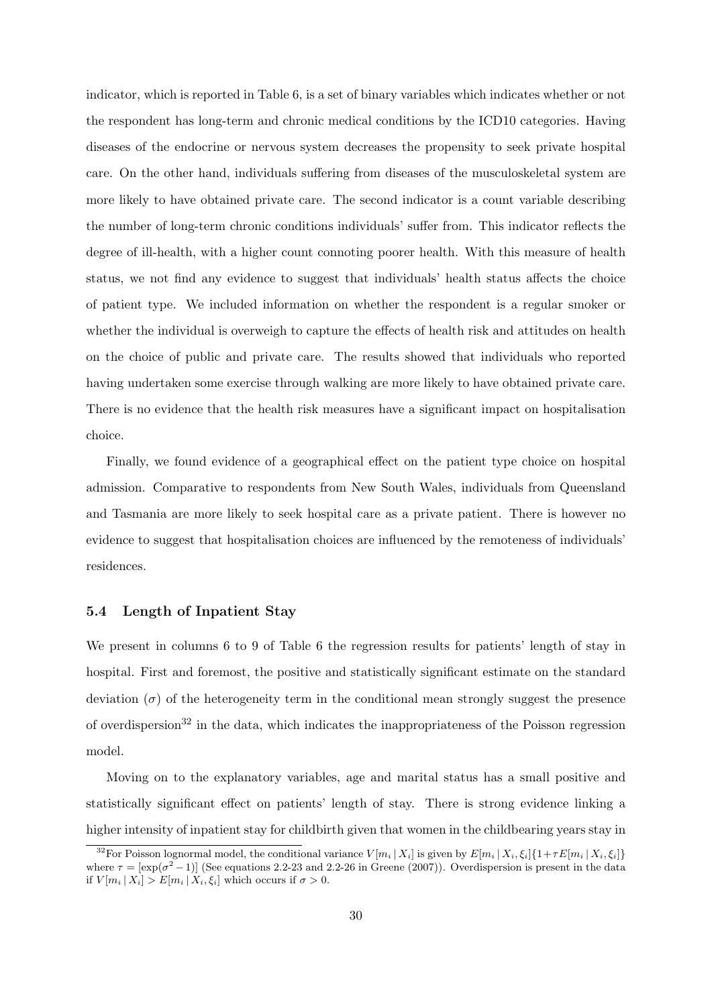indicator, which is reported in Table 6, is a set of binary variables which indicates whether or not the respondent has long-term and chronic medical conditions by the ICD10 categories. Having diseases of the endocrine or nervous system decreases the propensity to seek private hospital care. On the other hand, individuals suffering from diseases of the musculoskeletal system are more likely to have obtained private care. The second indicator is a count variable describing the number of long-term chronic conditions individuals' suffer from. This indicator reflects the degree of ill-health, with a higher count connoting poorer health. With this measure of health status, we not find any evidence to suggest that individuals' health status affects the choice of patient type. We included information on whether the respondent is a regular smoker or whether the individual is overweigh to capture the effects of health risk and attitudes on health on the choice of public and private care. The results showed that individuals who reported having undertaken some exercise through walking are more likely to have obtained private care. There is no evidence that the health risk measures have a significant impact on hospitalisation choice.

Finally, we found evidence of a geographical effect on the patient type choice on hospital admission. Comparative to respondents from New South Wales, individuals from Queensland and Tasmania are more likely to seek hospital care as a private patient. There is however no evidence to suggest that hospitalisation choices are influenced by the remoteness of individuals' residences.

### 5.4 Length of Inpatient Stay

We present in columns 6 to 9 of Table 6 the regression results for patients' length of stay in hospital. First and foremost, the positive and statistically significant estimate on the standard deviation  $(\sigma)$  of the heterogeneity term in the conditional mean strongly suggest the presence of overdispersion<sup>32</sup> in the data, which indicates the inappropriateness of the Poisson regression model.

Moving on to the explanatory variables, age and marital status has a small positive and statistically significant effect on patients' length of stay. There is strong evidence linking a higher intensity of inpatient stay for childbirth given that women in the childbearing years stay in

<sup>&</sup>lt;sup>32</sup>For Poisson lognormal model, the conditional variance  $V[m_i | X_i]$  is given by  $E[m_i | X_i, \xi_i]$  {1+ $\tau E[m_i | X_i, \xi_i]$ } where  $\tau = [\exp(\sigma^2 - 1)]$  (See equations 2.2-23 and 2.2-26 in Greene (2007)). Overdispersion is present in the data if  $V[m_i | X_i] > E[m_i | X_i, \xi_i]$  which occurs if  $\sigma > 0$ .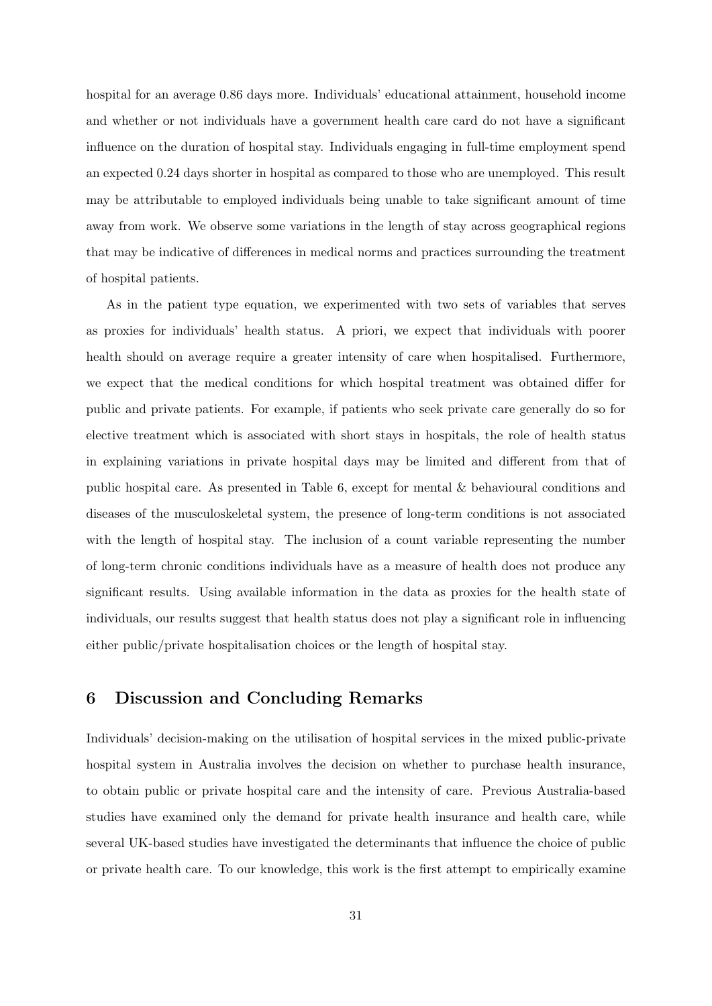hospital for an average 0.86 days more. Individuals' educational attainment, household income and whether or not individuals have a government health care card do not have a significant influence on the duration of hospital stay. Individuals engaging in full-time employment spend an expected 0.24 days shorter in hospital as compared to those who are unemployed. This result may be attributable to employed individuals being unable to take significant amount of time away from work. We observe some variations in the length of stay across geographical regions that may be indicative of differences in medical norms and practices surrounding the treatment of hospital patients.

As in the patient type equation, we experimented with two sets of variables that serves as proxies for individuals' health status. A priori, we expect that individuals with poorer health should on average require a greater intensity of care when hospitalised. Furthermore, we expect that the medical conditions for which hospital treatment was obtained differ for public and private patients. For example, if patients who seek private care generally do so for elective treatment which is associated with short stays in hospitals, the role of health status in explaining variations in private hospital days may be limited and different from that of public hospital care. As presented in Table 6, except for mental & behavioural conditions and diseases of the musculoskeletal system, the presence of long-term conditions is not associated with the length of hospital stay. The inclusion of a count variable representing the number of long-term chronic conditions individuals have as a measure of health does not produce any significant results. Using available information in the data as proxies for the health state of individuals, our results suggest that health status does not play a significant role in influencing either public/private hospitalisation choices or the length of hospital stay.

# 6 Discussion and Concluding Remarks

Individuals' decision-making on the utilisation of hospital services in the mixed public-private hospital system in Australia involves the decision on whether to purchase health insurance, to obtain public or private hospital care and the intensity of care. Previous Australia-based studies have examined only the demand for private health insurance and health care, while several UK-based studies have investigated the determinants that influence the choice of public or private health care. To our knowledge, this work is the first attempt to empirically examine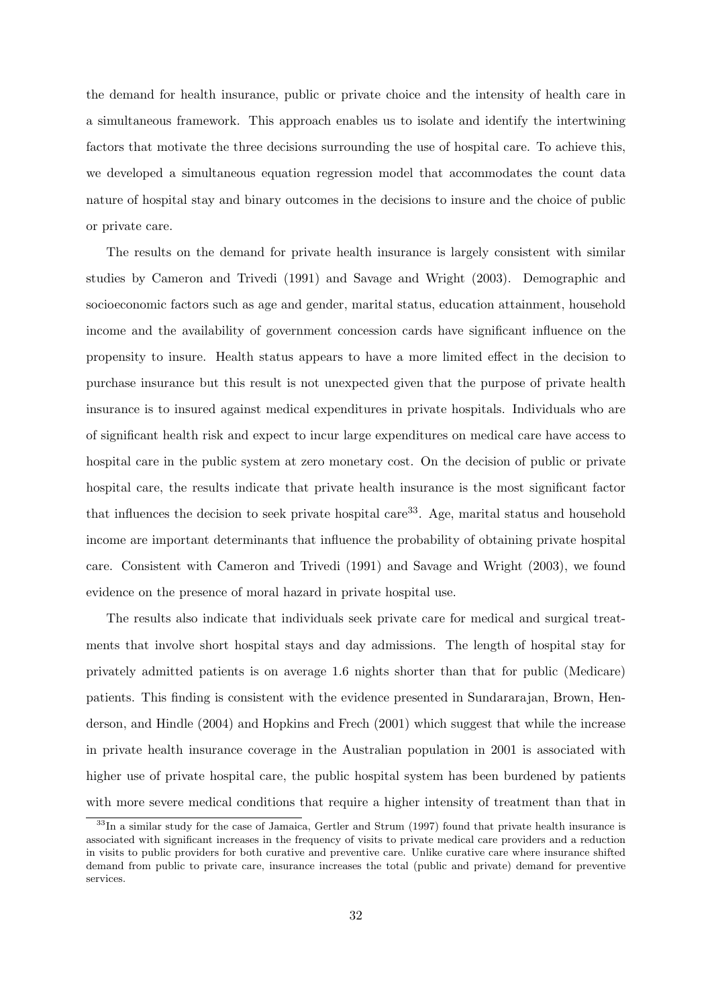the demand for health insurance, public or private choice and the intensity of health care in a simultaneous framework. This approach enables us to isolate and identify the intertwining factors that motivate the three decisions surrounding the use of hospital care. To achieve this, we developed a simultaneous equation regression model that accommodates the count data nature of hospital stay and binary outcomes in the decisions to insure and the choice of public or private care.

The results on the demand for private health insurance is largely consistent with similar studies by Cameron and Trivedi (1991) and Savage and Wright (2003). Demographic and socioeconomic factors such as age and gender, marital status, education attainment, household income and the availability of government concession cards have significant influence on the propensity to insure. Health status appears to have a more limited effect in the decision to purchase insurance but this result is not unexpected given that the purpose of private health insurance is to insured against medical expenditures in private hospitals. Individuals who are of significant health risk and expect to incur large expenditures on medical care have access to hospital care in the public system at zero monetary cost. On the decision of public or private hospital care, the results indicate that private health insurance is the most significant factor that influences the decision to seek private hospital care<sup>33</sup>. Age, marital status and household income are important determinants that influence the probability of obtaining private hospital care. Consistent with Cameron and Trivedi (1991) and Savage and Wright (2003), we found evidence on the presence of moral hazard in private hospital use.

The results also indicate that individuals seek private care for medical and surgical treatments that involve short hospital stays and day admissions. The length of hospital stay for privately admitted patients is on average 1.6 nights shorter than that for public (Medicare) patients. This finding is consistent with the evidence presented in Sundararajan, Brown, Henderson, and Hindle (2004) and Hopkins and Frech (2001) which suggest that while the increase in private health insurance coverage in the Australian population in 2001 is associated with higher use of private hospital care, the public hospital system has been burdened by patients with more severe medical conditions that require a higher intensity of treatment than that in

<sup>&</sup>lt;sup>33</sup>In a similar study for the case of Jamaica, Gertler and Strum (1997) found that private health insurance is associated with significant increases in the frequency of visits to private medical care providers and a reduction in visits to public providers for both curative and preventive care. Unlike curative care where insurance shifted demand from public to private care, insurance increases the total (public and private) demand for preventive services.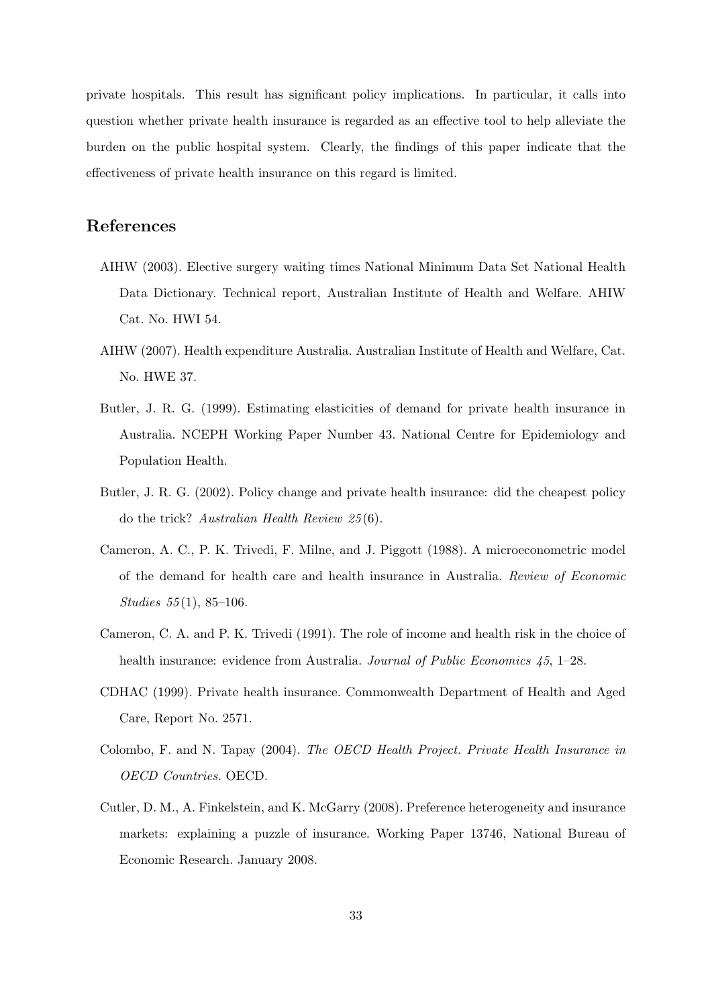private hospitals. This result has significant policy implications. In particular, it calls into question whether private health insurance is regarded as an effective tool to help alleviate the burden on the public hospital system. Clearly, the findings of this paper indicate that the effectiveness of private health insurance on this regard is limited.

## References

- AIHW (2003). Elective surgery waiting times National Minimum Data Set National Health Data Dictionary. Technical report, Australian Institute of Health and Welfare. AHIW Cat. No. HWI 54.
- AIHW (2007). Health expenditure Australia. Australian Institute of Health and Welfare, Cat. No. HWE 37.
- Butler, J. R. G. (1999). Estimating elasticities of demand for private health insurance in Australia. NCEPH Working Paper Number 43. National Centre for Epidemiology and Population Health.
- Butler, J. R. G. (2002). Policy change and private health insurance: did the cheapest policy do the trick? Australian Health Review 25 (6).
- Cameron, A. C., P. K. Trivedi, F. Milne, and J. Piggott (1988). A microeconometric model of the demand for health care and health insurance in Australia. Review of Economic Studies  $55(1)$ , 85-106.
- Cameron, C. A. and P. K. Trivedi (1991). The role of income and health risk in the choice of health insurance: evidence from Australia. Journal of Public Economics 45, 1–28.
- CDHAC (1999). Private health insurance. Commonwealth Department of Health and Aged Care, Report No. 2571.
- Colombo, F. and N. Tapay (2004). The OECD Health Project. Private Health Insurance in OECD Countries. OECD.
- Cutler, D. M., A. Finkelstein, and K. McGarry (2008). Preference heterogeneity and insurance markets: explaining a puzzle of insurance. Working Paper 13746, National Bureau of Economic Research. January 2008.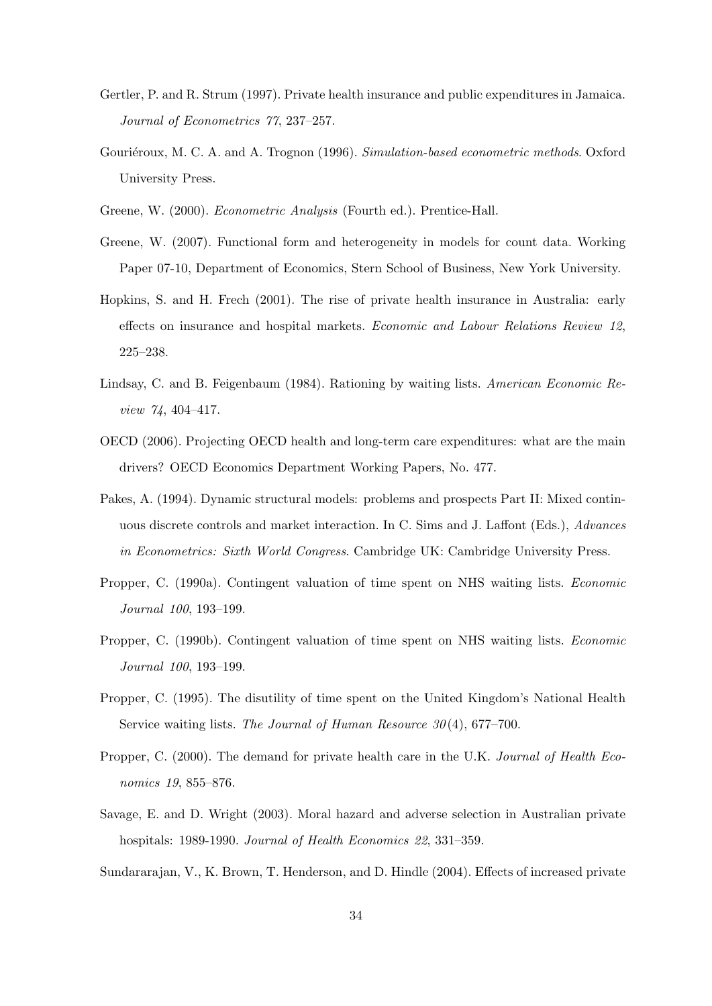- Gertler, P. and R. Strum (1997). Private health insurance and public expenditures in Jamaica. Journal of Econometrics 77, 237–257.
- Gouriéroux, M. C. A. and A. Trognon (1996). Simulation-based econometric methods. Oxford University Press.
- Greene, W. (2000). Econometric Analysis (Fourth ed.). Prentice-Hall.
- Greene, W. (2007). Functional form and heterogeneity in models for count data. Working Paper 07-10, Department of Economics, Stern School of Business, New York University.
- Hopkins, S. and H. Frech (2001). The rise of private health insurance in Australia: early effects on insurance and hospital markets. Economic and Labour Relations Review 12, 225–238.
- Lindsay, C. and B. Feigenbaum (1984). Rationing by waiting lists. American Economic Review 74, 404–417.
- OECD (2006). Projecting OECD health and long-term care expenditures: what are the main drivers? OECD Economics Department Working Papers, No. 477.
- Pakes, A. (1994). Dynamic structural models: problems and prospects Part II: Mixed continuous discrete controls and market interaction. In C. Sims and J. Laffont (Eds.), Advances in Econometrics: Sixth World Congress. Cambridge UK: Cambridge University Press.
- Propper, C. (1990a). Contingent valuation of time spent on NHS waiting lists. Economic Journal 100, 193–199.
- Propper, C. (1990b). Contingent valuation of time spent on NHS waiting lists. Economic Journal 100, 193–199.
- Propper, C. (1995). The disutility of time spent on the United Kingdom's National Health Service waiting lists. The Journal of Human Resource  $30(4)$ , 677–700.
- Propper, C. (2000). The demand for private health care in the U.K. Journal of Health Economics 19, 855–876.
- Savage, E. and D. Wright (2003). Moral hazard and adverse selection in Australian private hospitals: 1989-1990. Journal of Health Economics 22, 331-359.
- Sundararajan, V., K. Brown, T. Henderson, and D. Hindle (2004). Effects of increased private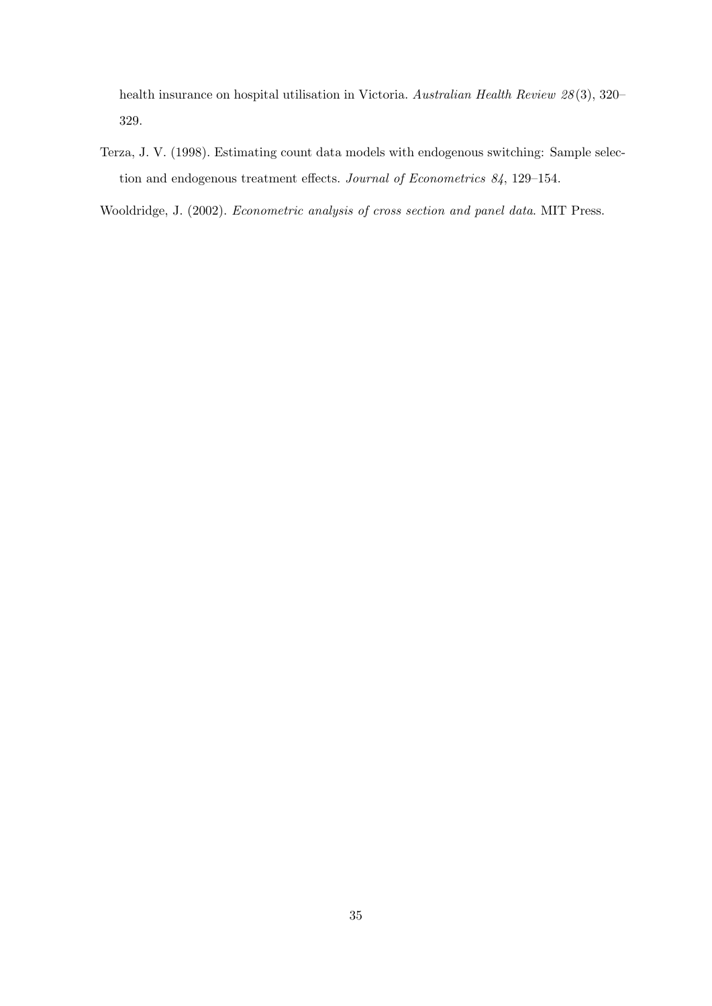health insurance on hospital utilisation in Victoria. Australian Health Review 28 (3), 320– 329.

Terza, J. V. (1998). Estimating count data models with endogenous switching: Sample selection and endogenous treatment effects. Journal of Econometrics 84, 129–154.

Wooldridge, J. (2002). Econometric analysis of cross section and panel data. MIT Press.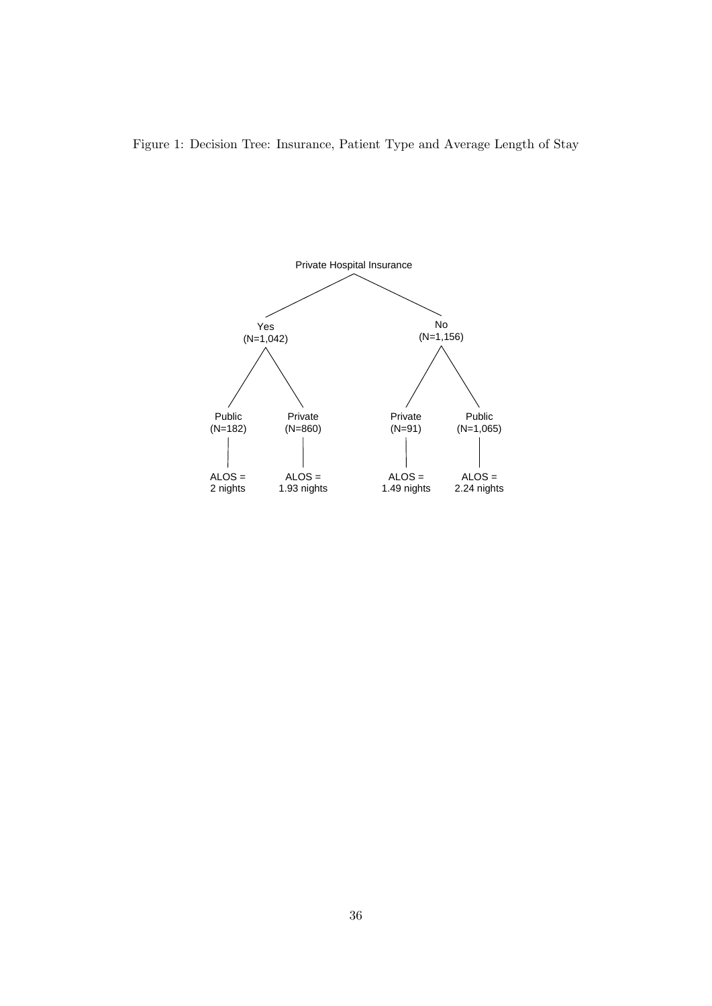

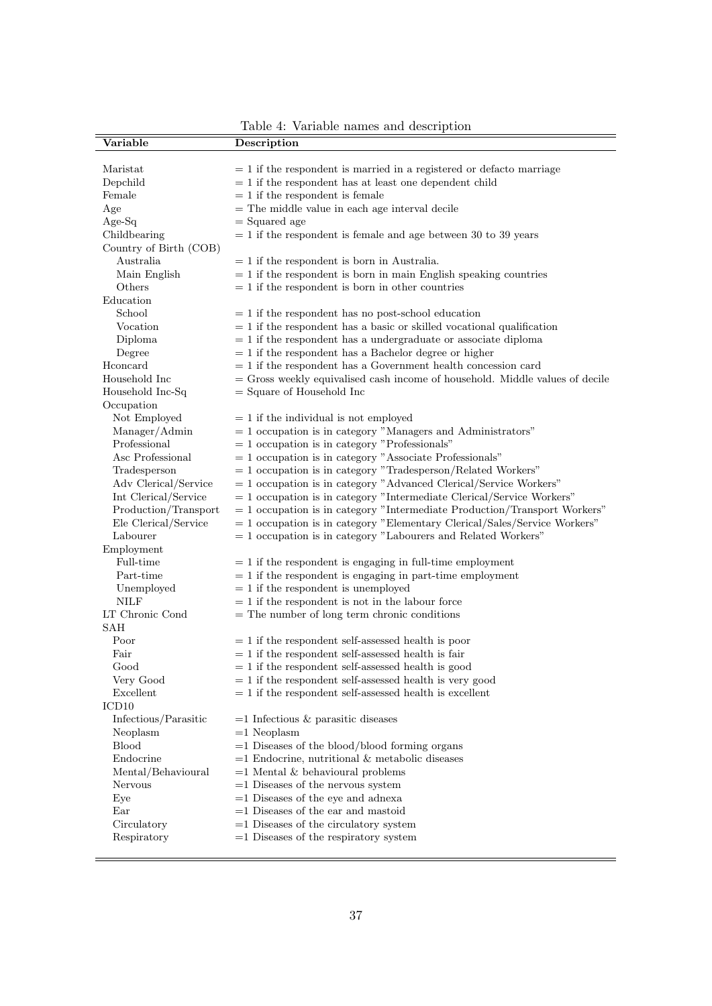| Variable               | Description                                                                  |
|------------------------|------------------------------------------------------------------------------|
|                        |                                                                              |
| Maristat               | $= 1$ if the respondent is married in a registered or defacto marriage       |
| Depchild               | $\,=\,1$ if the respondent has at least one dependent child                  |
| Female                 | $= 1$ if the respondent is female                                            |
| Age                    | $=$ The middle value in each age interval decile                             |
| Age-Sq                 | $=$ Squared age                                                              |
| Childbearing           | $= 1$ if the respondent is female and age between 30 to 39 years             |
| Country of Birth (COB) |                                                                              |
| Australia              | $= 1$ if the respondent is born in Australia.                                |
| Main English           | $= 1$ if the respondent is born in main English speaking countries           |
| Others                 | $= 1$ if the respondent is born in other countries                           |
| Education              |                                                                              |
| School                 | $= 1$ if the respondent has no post-school education                         |
| Vocation               | $= 1$ if the respondent has a basic or skilled vocational qualification      |
| Diploma                | $= 1$ if the respondent has a undergraduate or associate diploma             |
| Degree                 | $= 1$ if the respondent has a Bachelor degree or higher                      |
| Hconcard               | $= 1$ if the respondent has a Government health concession card              |
| Household Inc          | = Gross weekly equivalised cash income of household. Middle values of decile |
| Household Inc-Sq       | $=$ Square of Household Inc                                                  |
| Occupation             |                                                                              |
| Not Employed           | $= 1$ if the individual is not employed                                      |
| Manager/Admin          | $= 1$ occupation is in category "Managers and Administrators"                |
| Professional           | $= 1$ occupation is in category "Professionals"                              |
| Asc Professional       | $= 1$ occupation is in category "Associate Professionals"                    |
|                        | $= 1$ occupation is in category "Tradesperson/Related Workers"               |
| Tradesperson           |                                                                              |
| Adv Clerical/Service   | $= 1$ occupation is in category "Advanced Clerical/Service Workers"          |
| Int Clerical/Service   | $= 1$ occupation is in category "Intermediate Clerical/Service Workers"      |
| Production/Transport   | $=$ 1 occupation is in category "Intermediate Production/Transport Workers"  |
| Ele Clerical/Service   | $=$ 1 occupation is in category "Elementary Clerical/Sales/Service Workers"  |
| Labourer               | $= 1$ occupation is in category "Labourers and Related Workers"              |
| Employment             |                                                                              |
| Full-time              | $= 1$ if the respondent is engaging in full-time employment                  |
| Part-time              | $= 1$ if the respondent is engaging in part-time employment                  |
| Unemployed             | $= 1$ if the respondent is unemployed                                        |
| <b>NILF</b>            | $= 1$ if the respondent is not in the labour force                           |
| LT Chronic Cond        | $=$ The number of long term chronic conditions                               |
| <b>SAH</b>             |                                                                              |
| Poor                   | $= 1$ if the respondent self-assessed health is poor                         |
| Fair                   | $= 1$ if the respondent self-assessed health is fair                         |
| Good                   | $= 1$ if the respondent self-assessed health is good                         |
| Very Good              | $= 1$ if the respondent self-assessed health is very good                    |
| Excellent              | $= 1$ if the respondent self-assessed health is excellent                    |
| ICD <sub>10</sub>      |                                                                              |
| Infectious/Parasitic   | $=1$ Infectious & parasitic diseases                                         |
| Neoplasm               | $=1$ Neoplasm                                                                |
| <b>Blood</b>           | $=1$ Diseases of the blood/blood forming organs                              |
| Endocrine              | $=$ 1 Endocrine, nutritional & metabolic diseases                            |
| Mental/Behavioural     | $=1$ Mental & behavioural problems                                           |
| Nervous                | $=1$ Diseases of the nervous system                                          |
| Eye                    | $=1$ Diseases of the eye and adnexa                                          |
| Ear                    | $=1$ Diseases of the ear and mastoid                                         |
| Circulatory            | $=1$ Diseases of the circulatory system                                      |
| Respiratory            | $=1$ Diseases of the respiratory system                                      |
|                        |                                                                              |

Table 4: Variable names and description

þ

L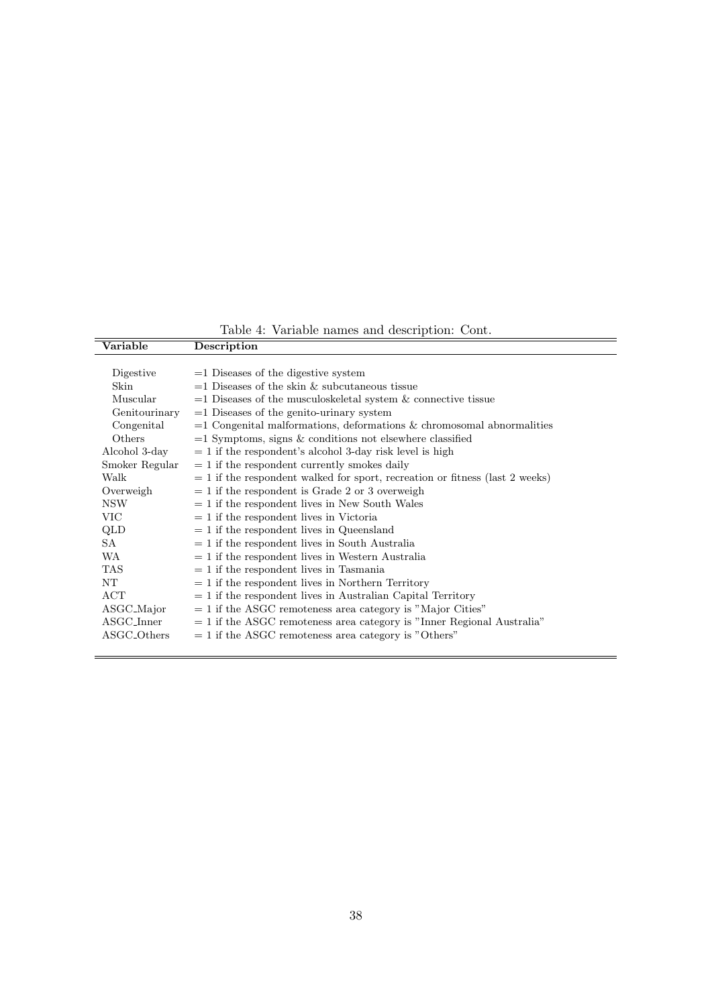Variable Description Digestive  $=1$  Diseases of the digestive system Skin  $=1$  Diseases of the skin  $\&$  subcutaneous tissue Muscular  $=1$  Diseases of the musculoskeletal system  $\&$  connective tissue Genitourinary  $=1$  Diseases of the genito-urinary system Congenital  $=1$  Congenital malformations, deformations & chromosomal abnormalities Others  $=1$  Symptoms, signs  $\&$  conditions not elsewhere classified Alcohol 3-day  $= 1$  if the respondent's alcohol 3-day risk level is high Smoker Regular  $= 1$  if the respondent currently smokes daily Walk  $= 1$  if the respondent walked for sport, recreation or fitness (last 2 weeks) Overweigh  $= 1$  if the respondent is Grade 2 or 3 overweigh  $NSW = 1$  if the respondent lives in New South Wales  $VIC = 1$  if the respondent lives in Victoria  $QLD = 1$  if the respondent lives in Queensland  $SA = 1$  if the respondent lives in South Australia  $WA = 1$  if the respondent lives in Western Australia  $TAS = 1$  if the respondent lives in Tasmania  $NT = 1$  if the respondent lives in Northern Territory  $ACT = 1$  if the respondent lives in Australian Capital Territory  $\text{ASGC}\_\text{Major}$  = 1 if the ASGC remoteness area category is "Major Cities"<br>ASGC\_Inner = 1 if the ASGC remoteness area category is "Inner Regional"  $= 1$  if the ASGC remoteness area category is "Inner Regional Australia"  $\text{ASGC\_Others}$  = 1 if the ASGC remoteness area category is "Others"

Table 4: Variable names and description: Cont.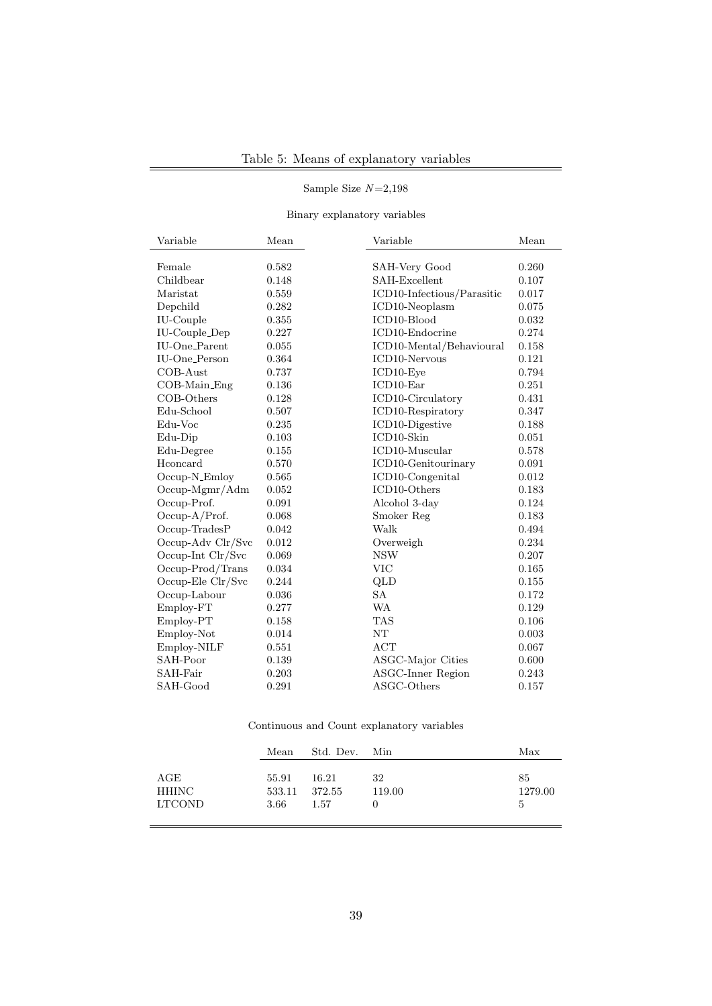### Sample Size N=2,198

Binary explanatory variables

| Variable                  | Mean  | Variable                   | Mean  |
|---------------------------|-------|----------------------------|-------|
|                           |       |                            |       |
| Female                    | 0.582 | SAH-Very Good              | 0.260 |
| Childbear                 | 0.148 | SAH-Excellent              | 0.107 |
| Maristat                  | 0.559 | ICD10-Infectious/Parasitic | 0.017 |
| Depchild                  | 0.282 | ICD10-Neoplasm             | 0.075 |
| IU-Couple                 | 0.355 | ICD10-Blood                | 0.032 |
| <b>IU-Couple_Dep</b>      | 0.227 | ICD10-Endocrine            | 0.274 |
| IU-One_Parent             | 0.055 | ICD10-Mental/Behavioural   | 0.158 |
| IU-One <sub>-Person</sub> | 0.364 | ICD10-Nervous              | 0.121 |
| COB-Aust                  | 0.737 | ICD10-Eve                  | 0.794 |
| COB-Main_Eng              | 0.136 | ICD10-Ear                  | 0.251 |
| COB-Others                | 0.128 | ICD10-Circulatory          | 0.431 |
| Edu-School                | 0.507 | ICD10-Respiratory          | 0.347 |
| Edu-Voc                   | 0.235 | ICD10-Digestive            | 0.188 |
| Edu-Dip                   | 0.103 | ICD10-Skin                 | 0.051 |
| Edu-Degree                | 0.155 | ICD10-Muscular             | 0.578 |
| Hconcard                  | 0.570 | ICD10-Genitourinary        | 0.091 |
| Occup-N_Emloy             | 0.565 | ICD10-Congenital           | 0.012 |
| $Occup-Mgmr/Adm$          | 0.052 | ICD10-Others               | 0.183 |
| Occup-Prof.               | 0.091 | Alcohol 3-day              | 0.124 |
| $Occup-A/Prof.$           | 0.068 | Smoker Reg                 | 0.183 |
| $Occup-TradesP$           | 0.042 | Walk                       | 0.494 |
| Occup-Adv Clr/Svc         | 0.012 | Overweigh                  | 0.234 |
| Occup-Int Clr/Svc         | 0.069 | <b>NSW</b>                 | 0.207 |
| Occup-Prod/Trans          | 0.034 | VIC                        | 0.165 |
| Occup-Ele Clr/Svc         | 0.244 | QLD                        | 0.155 |
| Occup-Labour              | 0.036 | <b>SA</b>                  | 0.172 |
| Employ-FT                 | 0.277 | <b>WA</b>                  | 0.129 |
| Employ-PT                 | 0.158 | <b>TAS</b>                 | 0.106 |
| Employ-Not                | 0.014 | NT                         | 0.003 |
| Employ-NILF               | 0.551 | <b>ACT</b>                 | 0.067 |
| SAH-Poor                  | 0.139 | ASGC-Major Cities          | 0.600 |
| SAH-Fair                  | 0.203 | <b>ASGC-Inner Region</b>   | 0.243 |
| SAH-Good                  | 0.291 | ASGC-Others                | 0.157 |

Continuous and Count explanatory variables

|                                      | Mean                    | Std. Dev. Min           |              | Max                |
|--------------------------------------|-------------------------|-------------------------|--------------|--------------------|
| $\rm{AGE}$<br>HHINC<br><b>LTCOND</b> | 55.91<br>533.11<br>3.66 | 16.21<br>372.55<br>1.57 | 32<br>119.00 | 85<br>1279.00<br>5 |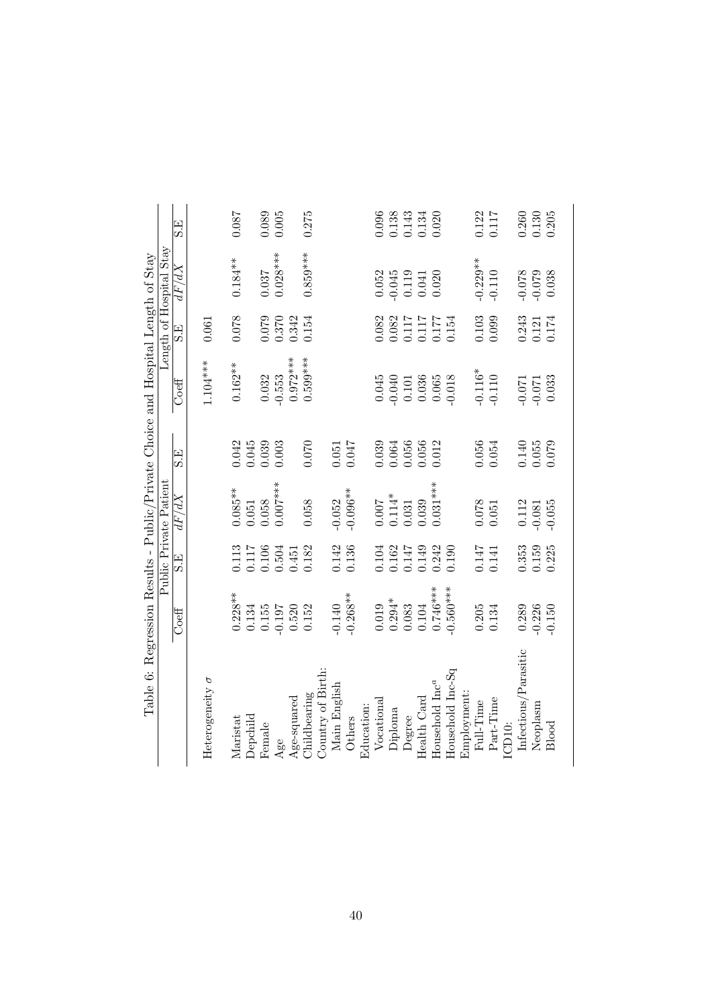| Table 6: Regression Results - Public/Private Choice and Hospital Length of Stay |                           |                                                        | Public Private Patient |                    |                                     |                                                                                   | Length of Hospital Stay                   |                                  |
|---------------------------------------------------------------------------------|---------------------------|--------------------------------------------------------|------------------------|--------------------|-------------------------------------|-----------------------------------------------------------------------------------|-------------------------------------------|----------------------------------|
|                                                                                 | $\overline{\text{Coeff}}$ | E)<br>Si                                               | dF/dX                  | S.E                | Coeff                               | Э.<br>Э                                                                           | dF/dX                                     | S.E                              |
| Heterogeneity $\sigma$                                                          |                           |                                                        |                        |                    | $1.104***$                          | 0.061                                                                             |                                           |                                  |
| Maristat                                                                        | $0.228**$                 |                                                        | $0.085***$             | 0.042              | $0.162**$                           | 0.078                                                                             | $0.184***$                                | 180.0                            |
| Depchild                                                                        | 0.134                     | $\begin{array}{c} 0.113 \\ 0.117 \\ 0.106 \end{array}$ | 1.051                  | 0.45               |                                     |                                                                                   |                                           |                                  |
| Female                                                                          | 0.155                     |                                                        | 0.058                  | 0.039              | 0.032                               | 0.079                                                                             | 0.037                                     | 0.089                            |
|                                                                                 | $-0.197$                  | 0.504                                                  | $0.007***$             | 0.003              | $-0.553$                            | 0.370                                                                             | $0.028***$                                | 0.005                            |
| $\frac{\rm Age}{\rm Age\mbox{-}squared}$                                        | 0.520                     | 0.451                                                  |                        |                    | $0.972***$                          | 0.342                                                                             |                                           |                                  |
| Childbearing                                                                    | 0.152                     | 0.182                                                  | 0.058                  | 0.070              | $0.599***$                          | 0.154                                                                             | $0.859***$                                | 0.275                            |
| Country of Birth                                                                |                           |                                                        |                        |                    |                                     |                                                                                   |                                           |                                  |
| Main English                                                                    | $-0.140$                  | 0.142                                                  | $-0.052$               | 0.051              |                                     |                                                                                   |                                           |                                  |
| Others                                                                          | $-0.268**$                | 0.136                                                  | $-0.096**$             | 0.047              |                                     |                                                                                   |                                           |                                  |
| Education:                                                                      |                           |                                                        |                        |                    |                                     |                                                                                   |                                           |                                  |
| Vocational                                                                      | 0.019                     | 0.104                                                  | 0.007                  | 0.039              | 0.045                               | 0.82                                                                              | 0.052                                     | 0.096                            |
| Diploma                                                                         | $0.294*$                  | $0.162$<br>$0.147$                                     | $0.114*$<br>$0.031$    | $0.064$<br>$0.056$ |                                     |                                                                                   |                                           |                                  |
| Degree                                                                          | 0.083                     |                                                        |                        |                    |                                     |                                                                                   |                                           |                                  |
| Health Card                                                                     | 0.104                     | 0.149<br>0.242                                         | $0.039$<br>$0.031***$  | 0.056<br>0.012     |                                     |                                                                                   | $-0.045$<br>$0.119$<br>$0.041$<br>$0.020$ | 0.138<br>0.143<br>0.134<br>0.020 |
| Household Inc <sup>a</sup>                                                      | $0.746***$                |                                                        |                        |                    | $-0.040$<br>0.101<br>0.036<br>0.065 | $\begin{array}{c} 0.082 \\ 0.117 \\ 0.117 \\ 0.117 \\ 0.177 \\ 0.154 \end{array}$ |                                           |                                  |
| Household Inc-Sq                                                                | $0.560***$                | 0.190                                                  |                        |                    | $-0.018$                            |                                                                                   |                                           |                                  |
| Employment:                                                                     |                           |                                                        |                        |                    |                                     |                                                                                   |                                           |                                  |
| Full-Time                                                                       | 0.205                     | 0.147                                                  | 0.078                  | 0.056              | $-0.116*$                           | $\,0.103\,$                                                                       | $-0.229**$                                | 0.122                            |
| Part-Time<br>CD <sub>10</sub> :                                                 | 0.134                     | 0.141                                                  | 0.051                  | 0.054              | $-0.110$                            | 0.099                                                                             | $-0.110$                                  | 0.117                            |
| Infectious/Parasitic                                                            | 0.289                     | 0.353                                                  | 0.112                  | 0.140<br>0.055     | $-0.071$                            |                                                                                   | $-0.078$                                  | $\frac{0.260}{0.130}$            |
| Neoplasm                                                                        | $-0.226$                  | 0.159                                                  | $-0.081$               |                    | $-0.071$                            | $0.243$<br>$0.121$                                                                | $-0.079$                                  |                                  |
| Blood                                                                           | $-0.150$                  | 0.225                                                  | $-0.055$               | 0.079              | 0.033                               | 0.174                                                                             | 0.038                                     | 0.205                            |
|                                                                                 |                           |                                                        |                        |                    |                                     |                                                                                   |                                           |                                  |